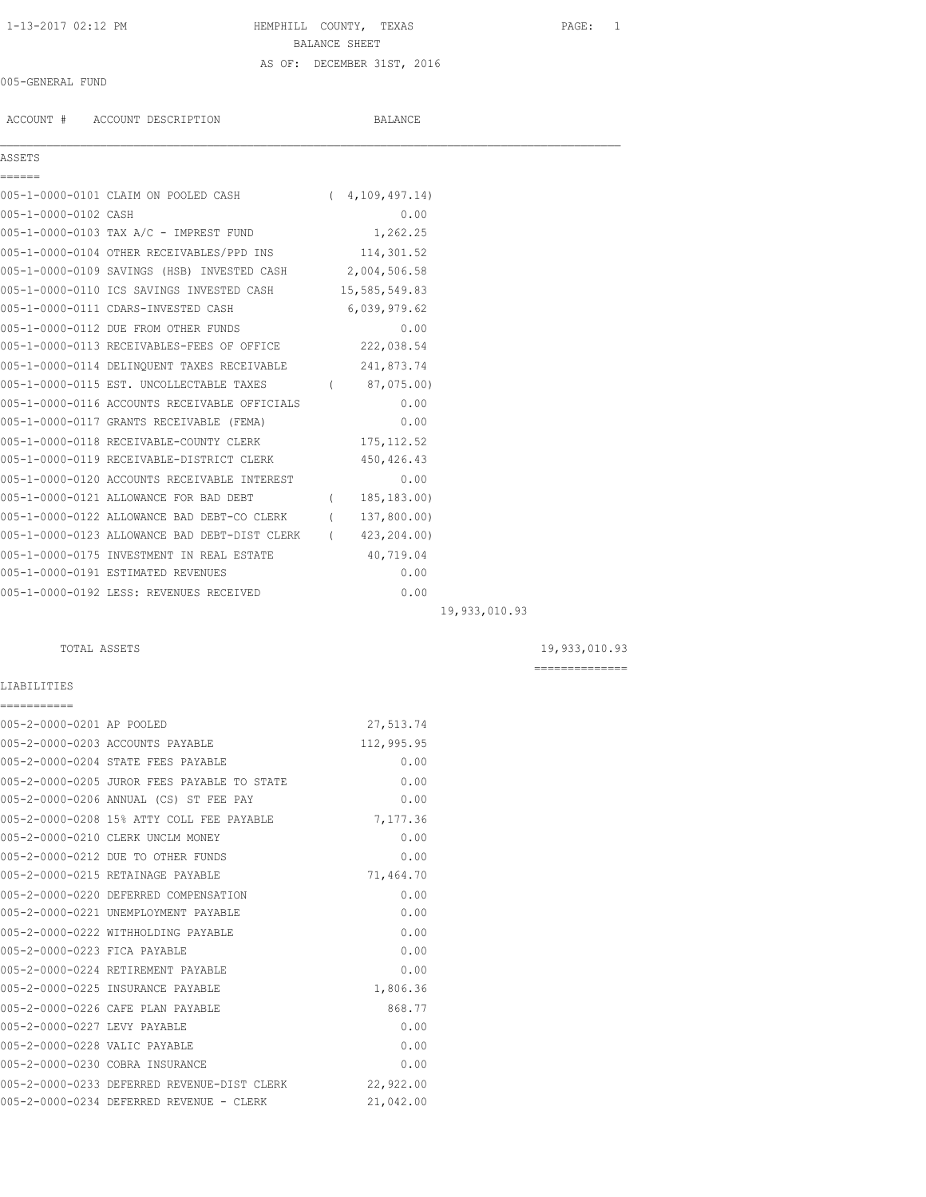# 1-13-2017 02:12 PM HEMPHILL COUNTY, TEXAS PAGE: 1 BALANCE SHEET AS OF: DECEMBER 31ST, 2016

# 005-GENERAL FUND

ACCOUNT # ACCOUNT DESCRIPTION BALANCE

| c.<br>÷ | ς,<br>۰, | ٠ | v<br>× |  |
|---------|----------|---|--------|--|
|         |          |   |        |  |

| ASSETS                               |                   |
|--------------------------------------|-------------------|
|                                      |                   |
| 005-1-0000-0101 CLAIM ON POOLED CASH | (4, 109, 497, 14) |

| 005-1-0000-0102 CASH |                                                          | 0.00           |               |
|----------------------|----------------------------------------------------------|----------------|---------------|
|                      | 005-1-0000-0103 TAX A/C - IMPREST FUND                   | 1,262.25       |               |
|                      | 005-1-0000-0104 OTHER RECEIVABLES/PPD INS 114,301.52     |                |               |
|                      | 005-1-0000-0109 SAVINGS (HSB) INVESTED CASH 2,004,506.58 |                |               |
|                      | 005-1-0000-0110 ICS SAVINGS INVESTED CASH 15,585,549.83  |                |               |
|                      | 005-1-0000-0111 CDARS-INVESTED CASH                      | 6,039,979.62   |               |
|                      | 005-1-0000-0112 DUE FROM OTHER FUNDS                     | 0.00           |               |
|                      | 005-1-0000-0113 RECEIVABLES-FEES OF OFFICE 222,038.54    |                |               |
|                      | 005-1-0000-0114 DELINQUENT TAXES RECEIVABLE 241,873.74   |                |               |
|                      | 005-1-0000-0115 EST. UNCOLLECTABLE TAXES                 | (87, 075, 00)  |               |
|                      | 005-1-0000-0116 ACCOUNTS RECEIVABLE OFFICIALS            | 0.00           |               |
|                      | 005-1-0000-0117 GRANTS RECEIVABLE (FEMA)                 | 0.00           |               |
|                      | 005-1-0000-0118 RECEIVABLE-COUNTY CLERK                  | 175, 112.52    |               |
|                      | 005-1-0000-0119 RECEIVABLE-DISTRICT CLERK                | 450,426.43     |               |
|                      | 005-1-0000-0120 ACCOUNTS RECEIVABLE INTEREST             | 0.00           |               |
|                      | 005-1-0000-0121 ALLOWANCE FOR BAD DEBT                   | (185, 183, 00) |               |
|                      | 005-1-0000-0122 ALLOWANCE BAD DEBT-CO CLERK (137,800.00) |                |               |
|                      | 005-1-0000-0123 ALLOWANCE BAD DEBT-DIST CLERK            | (423, 204, 00) |               |
|                      | 005-1-0000-0175 INVESTMENT IN REAL ESTATE                | 40,719.04      |               |
|                      | 005-1-0000-0191 ESTIMATED REVENUES                       | 0.00           |               |
|                      | 005-1-0000-0192 LESS: REVENUES RECEIVED                  | 0.00           |               |
|                      |                                                          |                | 19,933,010.93 |

TOTAL ASSETS 19,933,010.93

==============

| LIABILITIES                              |                                             |            |
|------------------------------------------|---------------------------------------------|------------|
| ===========<br>005-2-0000-0201 AP POOLED |                                             | 27,513.74  |
|                                          | 005-2-0000-0203 ACCOUNTS PAYABLE            | 112,995.95 |
|                                          | 005-2-0000-0204 STATE FEES PAYABLE          | 0.00       |
|                                          | 005-2-0000-0205 JUROR FEES PAYABLE TO STATE | 0.00       |
|                                          | 005-2-0000-0206 ANNUAL (CS) ST FEE PAY      | 0.00       |
|                                          | 005-2-0000-0208 15% ATTY COLL FEE PAYABLE   | 7,177.36   |
|                                          | 005-2-0000-0210 CLERK UNCLM MONEY           | 0.00       |
|                                          | 005-2-0000-0212 DUE TO OTHER FUNDS          | 0.00       |
|                                          | 005-2-0000-0215 RETAINAGE PAYABLE           | 71,464.70  |
|                                          | 005-2-0000-0220 DEFERRED COMPENSATION       | 0.00       |
|                                          | 005-2-0000-0221 UNEMPLOYMENT PAYABLE        | 0.00       |
|                                          | 005-2-0000-0222 WITHHOLDING PAYABLE         | 0.00       |
| 005-2-0000-0223 FICA PAYABLE             |                                             | 0.00       |
|                                          | 005-2-0000-0224 RETIREMENT PAYABLE          | 0.00       |
|                                          | 005-2-0000-0225 INSURANCE PAYABLE           | 1,806.36   |
|                                          | 005-2-0000-0226 CAFE PLAN PAYABLE           | 868.77     |
| 005-2-0000-0227 LEVY PAYABLE             |                                             | 0.00       |
| 005-2-0000-0228 VALIC PAYABLE            |                                             | 0.00       |
|                                          | 005-2-0000-0230 COBRA INSURANCE             | 0.00       |
|                                          | 005-2-0000-0233 DEFERRED REVENUE-DIST CLERK | 22,922.00  |
|                                          | 005-2-0000-0234 DEFERRED REVENUE - CLERK    | 21,042.00  |
|                                          |                                             |            |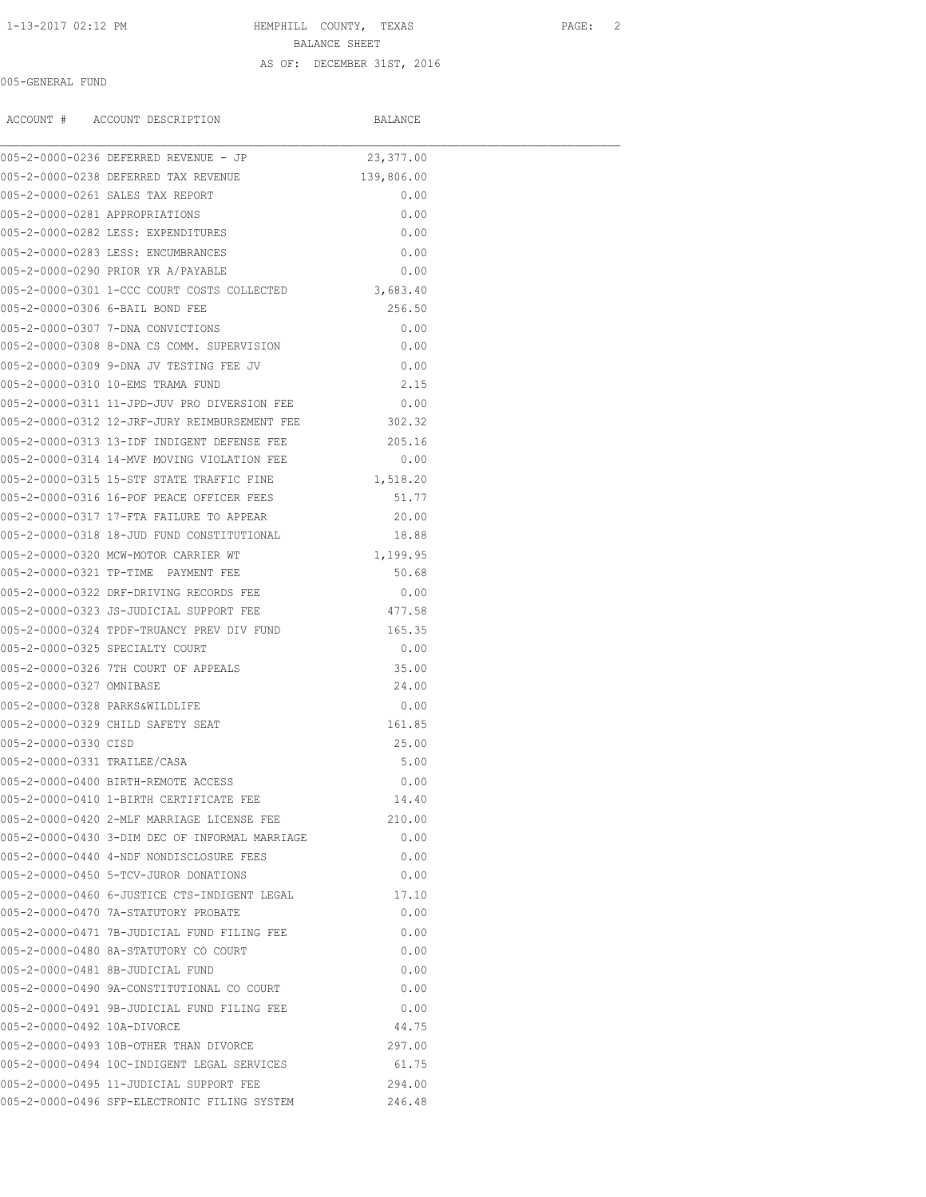### AS OF: DECEMBER 31ST, 2016

## 005-GENERAL FUND

|                              | ACCOUNT # ACCOUNT DESCRIPTION                        | BALANCE    |  |
|------------------------------|------------------------------------------------------|------------|--|
|                              | 005-2-0000-0236 DEFERRED REVENUE - JP                | 23,377.00  |  |
|                              | 005-2-0000-0238 DEFERRED TAX REVENUE                 | 139,806.00 |  |
|                              | 005-2-0000-0261 SALES TAX REPORT                     | 0.00       |  |
|                              | 005-2-0000-0281 APPROPRIATIONS                       | 0.00       |  |
|                              | 005-2-0000-0282 LESS: EXPENDITURES                   | 0.00       |  |
|                              | 005-2-0000-0283 LESS: ENCUMBRANCES                   | 0.00       |  |
|                              | 005-2-0000-0290 PRIOR YR A/PAYABLE                   | 0.00       |  |
|                              | 005-2-0000-0301 1-CCC COURT COSTS COLLECTED          | 3,683.40   |  |
|                              | 005-2-0000-0306 6-BAIL BOND FEE                      | 256.50     |  |
|                              | 005-2-0000-0307 7-DNA CONVICTIONS                    | 0.00       |  |
|                              | 005-2-0000-0308 8-DNA CS COMM. SUPERVISION           | 0.00       |  |
|                              | 005-2-0000-0309 9-DNA JV TESTING FEE JV              | 0.00       |  |
|                              | 005-2-0000-0310 10-EMS TRAMA FUND                    | 2.15       |  |
|                              | 005-2-0000-0311 11-JPD-JUV PRO DIVERSION FEE         | 0.00       |  |
|                              | 005-2-0000-0312 12-JRF-JURY REIMBURSEMENT FEE 302.32 |            |  |
|                              | 005-2-0000-0313 13-IDF INDIGENT DEFENSE FEE          | 205.16     |  |
|                              | 005-2-0000-0314 14-MVF MOVING VIOLATION FEE          | 0.00       |  |
|                              | 005-2-0000-0315 15-STF STATE TRAFFIC FINE            | 1,518.20   |  |
|                              | 005-2-0000-0316 16-POF PEACE OFFICER FEES            | 51.77      |  |
|                              | 005-2-0000-0317 17-FTA FAILURE TO APPEAR             | 20.00      |  |
|                              | 005-2-0000-0318 18-JUD FUND CONSTITUTIONAL           | 18.88      |  |
|                              | 005-2-0000-0320 MCW-MOTOR CARRIER WT                 | 1,199.95   |  |
|                              | 005-2-0000-0321 TP-TIME PAYMENT FEE                  | 50.68      |  |
|                              | 005-2-0000-0322 DRF-DRIVING RECORDS FEE              | 0.00       |  |
|                              | 005-2-0000-0323 JS-JUDICIAL SUPPORT FEE              | 477.58     |  |
|                              | 005-2-0000-0324 TPDF-TRUANCY PREV DIV FUND           | 165.35     |  |
|                              | 005-2-0000-0325 SPECIALTY COURT                      | 0.00       |  |
|                              | 005-2-0000-0326 7TH COURT OF APPEALS                 | 35.00      |  |
| 005-2-0000-0327 OMNIBASE     |                                                      | 24.00      |  |
|                              | 005-2-0000-0328 PARKS&WILDLIFE                       | 0.00       |  |
|                              | 005-2-0000-0329 CHILD SAFETY SEAT                    | 161.85     |  |
| 005-2-0000-0330 CISD         |                                                      | 25.00      |  |
| 005-2-0000-0331 TRAILEE/CASA |                                                      | 5.00       |  |
|                              | 005-2-0000-0400 BIRTH-REMOTE ACCESS                  | 0.00       |  |
|                              | 005-2-0000-0410 1-BIRTH CERTIFICATE FEE              | 14.40      |  |
|                              | 005-2-0000-0420 2-MLF MARRIAGE LICENSE FEE           | 210.00     |  |
|                              | 005-2-0000-0430 3-DIM DEC OF INFORMAL MARRIAGE       | 0.00       |  |
|                              | 005-2-0000-0440 4-NDF NONDISCLOSURE FEES             | 0.00       |  |
|                              | 005-2-0000-0450 5-TCV-JUROR DONATIONS                | 0.00       |  |
|                              | 005-2-0000-0460 6-JUSTICE CTS-INDIGENT LEGAL         | 17.10      |  |
|                              | 005-2-0000-0470 7A-STATUTORY PROBATE                 | 0.00       |  |
|                              | 005-2-0000-0471 7B-JUDICIAL FUND FILING FEE          | 0.00       |  |
|                              | 005-2-0000-0480 8A-STATUTORY CO COURT                | 0.00       |  |
|                              | 005-2-0000-0481 8B-JUDICIAL FUND                     | 0.00       |  |
|                              | 005-2-0000-0490 9A-CONSTITUTIONAL CO COURT           | 0.00       |  |
|                              | 005-2-0000-0491 9B-JUDICIAL FUND FILING FEE          | 0.00       |  |
| 005-2-0000-0492 10A-DIVORCE  |                                                      | 44.75      |  |
|                              | 005-2-0000-0493 10B-OTHER THAN DIVORCE               | 297.00     |  |
|                              | 005-2-0000-0494 10C-INDIGENT LEGAL SERVICES          | 61.75      |  |
|                              | 005-2-0000-0495 11-JUDICIAL SUPPORT FEE              | 294.00     |  |
|                              | 005-2-0000-0496 SFP-ELECTRONIC FILING SYSTEM         | 246.48     |  |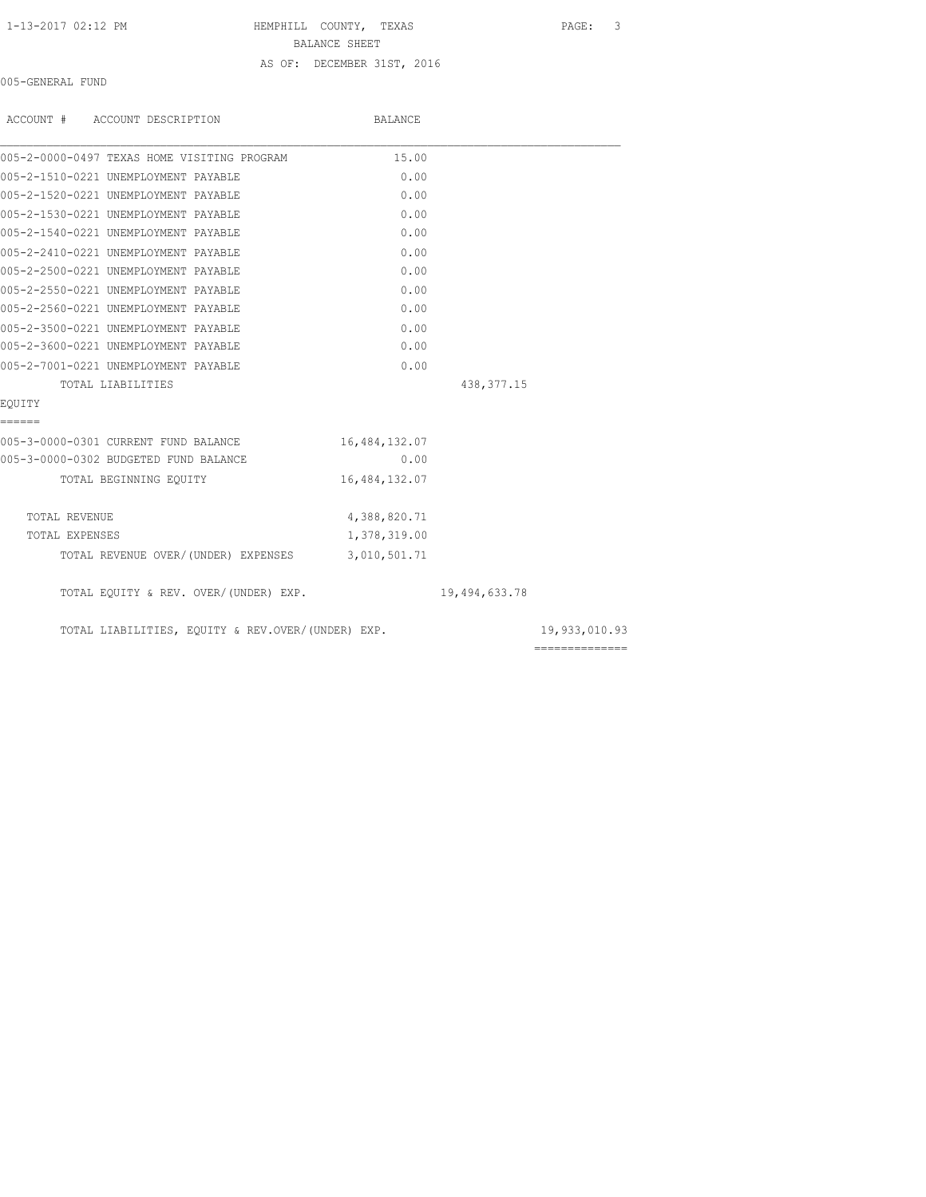### 1-13-2017 02:12 PM HEMPHILL COUNTY, TEXAS PAGE: 3

BALANCE SHEET

AS OF: DECEMBER 31ST, 2016

005-GENERAL FUND

| ACCOUNT # ACCOUNT DESCRIPTION                     | BALANCE       |               |                |
|---------------------------------------------------|---------------|---------------|----------------|
| 005-2-0000-0497 TEXAS HOME VISITING PROGRAM       | 15.00         |               |                |
| 005-2-1510-0221 UNEMPLOYMENT PAYABLE              | 0.00          |               |                |
| 005-2-1520-0221 UNEMPLOYMENT PAYABLE              | 0.00          |               |                |
| 005-2-1530-0221 UNEMPLOYMENT PAYABLE              | 0.00          |               |                |
| 005-2-1540-0221 UNEMPLOYMENT PAYABLE              | 0.00          |               |                |
| 005-2-2410-0221 UNEMPLOYMENT PAYABLE              | 0.00          |               |                |
| 005-2-2500-0221 UNEMPLOYMENT PAYABLE              | 0.00          |               |                |
| 005-2-2550-0221 UNEMPLOYMENT PAYABLE              | 0.00          |               |                |
| 005-2-2560-0221 UNEMPLOYMENT PAYABLE              | 0.00          |               |                |
| 005-2-3500-0221 UNEMPLOYMENT PAYABLE              | 0.00          |               |                |
| 005-2-3600-0221 UNEMPLOYMENT PAYABLE              | 0.00          |               |                |
| 005-2-7001-0221 UNEMPLOYMENT PAYABLE              | 0.00          |               |                |
| TOTAL LIABILITIES                                 |               | 438, 377. 15  |                |
| EOUITY                                            |               |               |                |
| ======                                            |               |               |                |
| 005-3-0000-0301 CURRENT FUND BALANCE              | 16,484,132.07 |               |                |
| 005-3-0000-0302 BUDGETED FUND BALANCE             | 0.00          |               |                |
| TOTAL BEGINNING EOUITY                            | 16,484,132.07 |               |                |
| TOTAL REVENUE                                     | 4,388,820.71  |               |                |
| TOTAL EXPENSES                                    | 1,378,319.00  |               |                |
| TOTAL REVENUE OVER/(UNDER) EXPENSES 3,010,501.71  |               |               |                |
| TOTAL EQUITY & REV. OVER/(UNDER) EXP.             |               | 19,494,633.78 |                |
| TOTAL LIABILITIES, EQUITY & REV.OVER/(UNDER) EXP. |               |               | 19,933,010.93  |
|                                                   |               |               | ============== |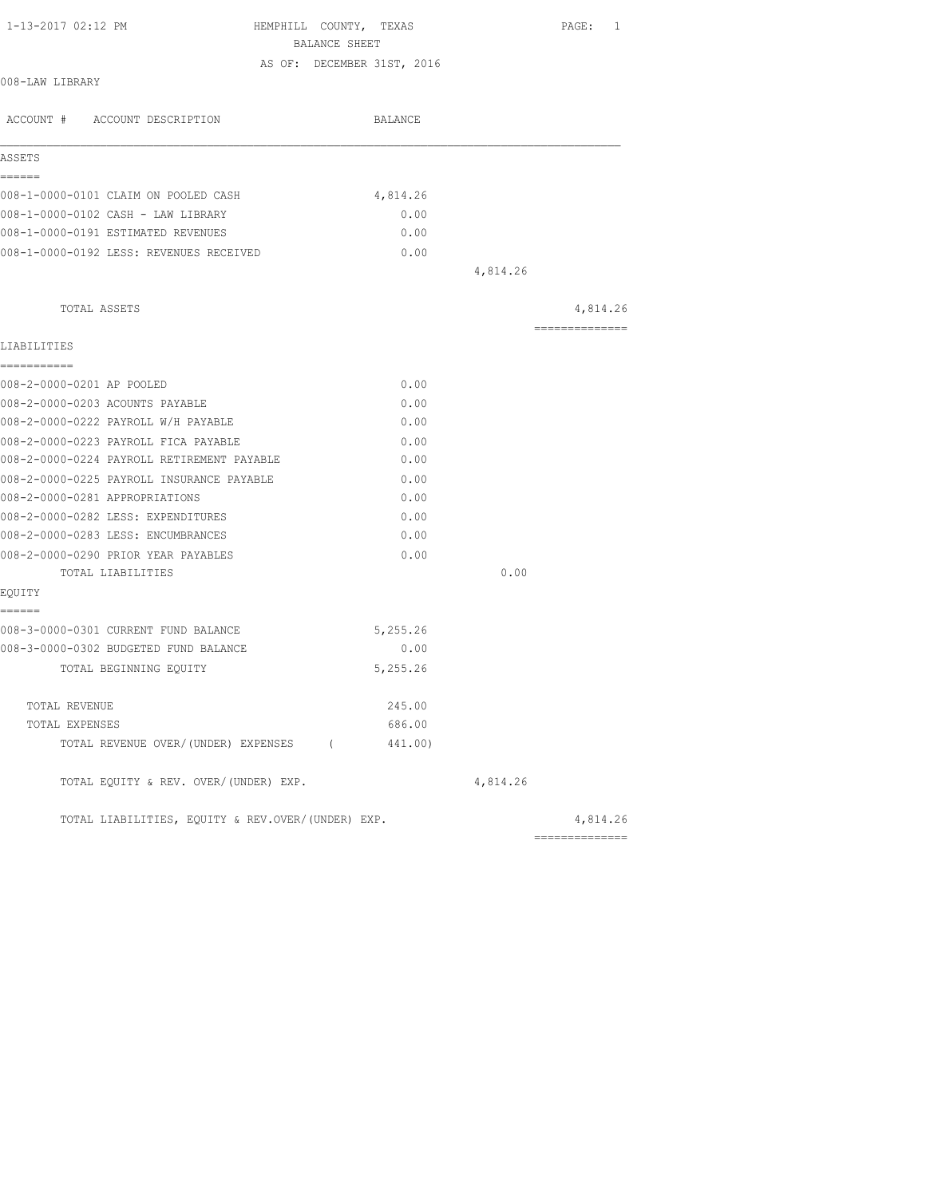| 1-13-2017 02:12 PM                                | HEMPHILL COUNTY, TEXAS<br>BALANCE SHEET | PAGE: 1        |
|---------------------------------------------------|-----------------------------------------|----------------|
|                                                   | AS OF: DECEMBER 31ST, 2016              |                |
| 008-LAW LIBRARY                                   |                                         |                |
| ACCOUNT # ACCOUNT DESCRIPTION                     | BALANCE                                 |                |
| ASSETS                                            |                                         |                |
| ======                                            |                                         |                |
| 008-1-0000-0101 CLAIM ON POOLED CASH              | 4,814.26                                |                |
| 008-1-0000-0102 CASH - LAW LIBRARY                | 0.00                                    |                |
| 008-1-0000-0191 ESTIMATED REVENUES                | 0.00                                    |                |
| 008-1-0000-0192 LESS: REVENUES RECEIVED           | 0.00                                    |                |
|                                                   |                                         | 4,814.26       |
| TOTAL ASSETS                                      |                                         | 4,814.26       |
| LIABILITIES                                       |                                         | ============== |
| -----------                                       |                                         |                |
| 008-2-0000-0201 AP POOLED                         | 0.00                                    |                |
| 008-2-0000-0203 ACOUNTS PAYABLE                   | 0.00                                    |                |
| 008-2-0000-0222 PAYROLL W/H PAYABLE               | 0.00                                    |                |
| 008-2-0000-0223 PAYROLL FICA PAYABLE              | 0.00                                    |                |
| 008-2-0000-0224 PAYROLL RETIREMENT PAYABLE        | 0.00                                    |                |
| 008-2-0000-0225 PAYROLL INSURANCE PAYABLE         | 0.00                                    |                |
| 008-2-0000-0281 APPROPRIATIONS                    | 0.00                                    |                |
| 008-2-0000-0282 LESS: EXPENDITURES                | 0.00                                    |                |
| 008-2-0000-0283 LESS: ENCUMBRANCES                | 0.00                                    |                |
| 008-2-0000-0290 PRIOR YEAR PAYABLES               | 0.00                                    |                |
| TOTAL LIABILITIES                                 |                                         | 0.00           |
| EQUITY<br>======                                  |                                         |                |
| 008-3-0000-0301 CURRENT FUND BALANCE              | 5,255.26                                |                |
| 008-3-0000-0302 BUDGETED FUND BALANCE             | 0.00                                    |                |
| TOTAL BEGINNING EQUITY                            | 5,255.26                                |                |
|                                                   |                                         |                |
| TOTAL REVENUE                                     | 245.00                                  |                |
| TOTAL EXPENSES                                    | 686.00                                  |                |
| TOTAL REVENUE OVER/(UNDER) EXPENSES (             | 441.00)                                 |                |
| TOTAL EQUITY & REV. OVER/(UNDER) EXP.             |                                         | 4,814.26       |
| TOTAL LIABILITIES, EQUITY & REV.OVER/(UNDER) EXP. |                                         | 4,814.26       |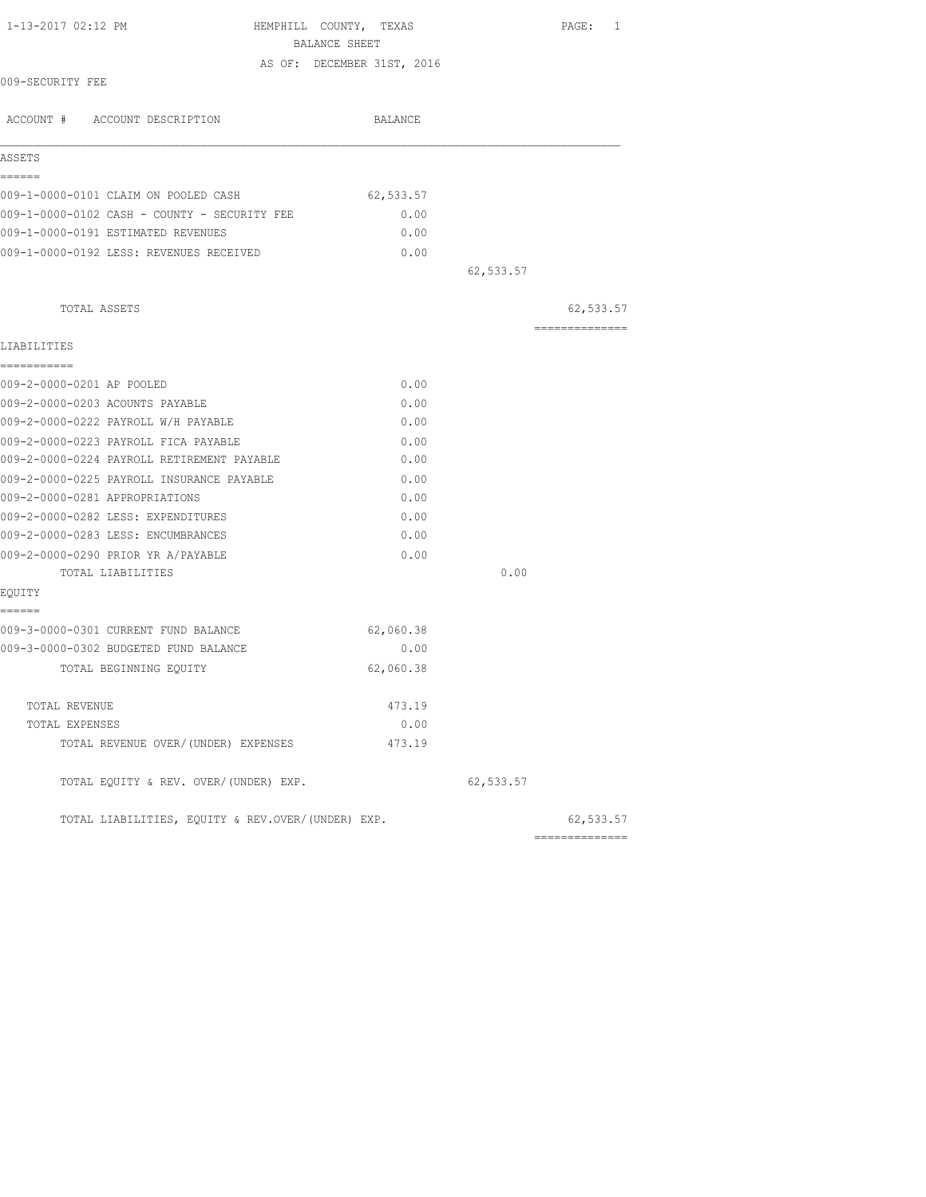|                                                   | BALANCE SHEET              |           |                                                                                                                                                                                                                                                                                                                                                                                                                                                                                        |
|---------------------------------------------------|----------------------------|-----------|----------------------------------------------------------------------------------------------------------------------------------------------------------------------------------------------------------------------------------------------------------------------------------------------------------------------------------------------------------------------------------------------------------------------------------------------------------------------------------------|
|                                                   | AS OF: DECEMBER 31ST, 2016 |           |                                                                                                                                                                                                                                                                                                                                                                                                                                                                                        |
| 009-SECURITY FEE                                  |                            |           |                                                                                                                                                                                                                                                                                                                                                                                                                                                                                        |
| ACCOUNT # ACCOUNT DESCRIPTION                     | BALANCE                    |           |                                                                                                                                                                                                                                                                                                                                                                                                                                                                                        |
| ASSETS                                            |                            |           |                                                                                                                                                                                                                                                                                                                                                                                                                                                                                        |
| ------                                            |                            |           |                                                                                                                                                                                                                                                                                                                                                                                                                                                                                        |
| 009-1-0000-0101 CLAIM ON POOLED CASH              | 62,533.57                  |           |                                                                                                                                                                                                                                                                                                                                                                                                                                                                                        |
| 009-1-0000-0102 CASH - COUNTY - SECURITY FEE      | 0.00                       |           |                                                                                                                                                                                                                                                                                                                                                                                                                                                                                        |
| 009-1-0000-0191 ESTIMATED REVENUES                | 0.00                       |           |                                                                                                                                                                                                                                                                                                                                                                                                                                                                                        |
| 009-1-0000-0192 LESS: REVENUES RECEIVED           | 0.00                       |           |                                                                                                                                                                                                                                                                                                                                                                                                                                                                                        |
|                                                   |                            | 62,533.57 |                                                                                                                                                                                                                                                                                                                                                                                                                                                                                        |
| TOTAL ASSETS                                      |                            |           | 62,533.57                                                                                                                                                                                                                                                                                                                                                                                                                                                                              |
|                                                   |                            |           | $\begin{array}{cccccccccccccc} \multicolumn{2}{c}{} & \multicolumn{2}{c}{} & \multicolumn{2}{c}{} & \multicolumn{2}{c}{} & \multicolumn{2}{c}{} & \multicolumn{2}{c}{} & \multicolumn{2}{c}{} & \multicolumn{2}{c}{} & \multicolumn{2}{c}{} & \multicolumn{2}{c}{} & \multicolumn{2}{c}{} & \multicolumn{2}{c}{} & \multicolumn{2}{c}{} & \multicolumn{2}{c}{} & \multicolumn{2}{c}{} & \multicolumn{2}{c}{} & \multicolumn{2}{c}{} & \multicolumn{2}{c}{} & \multicolumn{2}{c}{} & \$ |
| LIABILITIES                                       |                            |           |                                                                                                                                                                                                                                                                                                                                                                                                                                                                                        |
| ===========<br>009-2-0000-0201 AP POOLED          | 0.00                       |           |                                                                                                                                                                                                                                                                                                                                                                                                                                                                                        |
| 009-2-0000-0203 ACOUNTS PAYABLE                   | 0.00                       |           |                                                                                                                                                                                                                                                                                                                                                                                                                                                                                        |
| 009-2-0000-0222 PAYROLL W/H PAYABLE               | 0.00                       |           |                                                                                                                                                                                                                                                                                                                                                                                                                                                                                        |
| 009-2-0000-0223 PAYROLL FICA PAYABLE              | 0.00                       |           |                                                                                                                                                                                                                                                                                                                                                                                                                                                                                        |
| 009-2-0000-0224 PAYROLL RETIREMENT PAYABLE        | 0.00                       |           |                                                                                                                                                                                                                                                                                                                                                                                                                                                                                        |
| 009-2-0000-0225 PAYROLL INSURANCE PAYABLE         | 0.00                       |           |                                                                                                                                                                                                                                                                                                                                                                                                                                                                                        |
| 009-2-0000-0281 APPROPRIATIONS                    | 0.00                       |           |                                                                                                                                                                                                                                                                                                                                                                                                                                                                                        |
| 009-2-0000-0282 LESS: EXPENDITURES                | 0.00                       |           |                                                                                                                                                                                                                                                                                                                                                                                                                                                                                        |
| 009-2-0000-0283 LESS: ENCUMBRANCES                | 0.00                       |           |                                                                                                                                                                                                                                                                                                                                                                                                                                                                                        |
| 009-2-0000-0290 PRIOR YR A/PAYABLE                | 0.00                       |           |                                                                                                                                                                                                                                                                                                                                                                                                                                                                                        |
| TOTAL LIABILITIES                                 |                            | 0.00      |                                                                                                                                                                                                                                                                                                                                                                                                                                                                                        |
| EQUITY                                            |                            |           |                                                                                                                                                                                                                                                                                                                                                                                                                                                                                        |
| ======                                            |                            |           |                                                                                                                                                                                                                                                                                                                                                                                                                                                                                        |
| 009-3-0000-0301 CURRENT FUND BALANCE              | 62,060.38                  |           |                                                                                                                                                                                                                                                                                                                                                                                                                                                                                        |
| 009-3-0000-0302 BUDGETED FUND BALANCE             | 0.00                       |           |                                                                                                                                                                                                                                                                                                                                                                                                                                                                                        |
| TOTAL BEGINNING EQUITY                            | 62,060.38                  |           |                                                                                                                                                                                                                                                                                                                                                                                                                                                                                        |
| TOTAL REVENUE                                     | 473.19                     |           |                                                                                                                                                                                                                                                                                                                                                                                                                                                                                        |
| TOTAL EXPENSES                                    | 0.00                       |           |                                                                                                                                                                                                                                                                                                                                                                                                                                                                                        |
| TOTAL REVENUE OVER/(UNDER) EXPENSES               | 473.19                     |           |                                                                                                                                                                                                                                                                                                                                                                                                                                                                                        |
| TOTAL EQUITY & REV. OVER/(UNDER) EXP.             |                            | 62,533.57 |                                                                                                                                                                                                                                                                                                                                                                                                                                                                                        |
| TOTAL LIABILITIES, EQUITY & REV.OVER/(UNDER) EXP. |                            |           | 62,533.57                                                                                                                                                                                                                                                                                                                                                                                                                                                                              |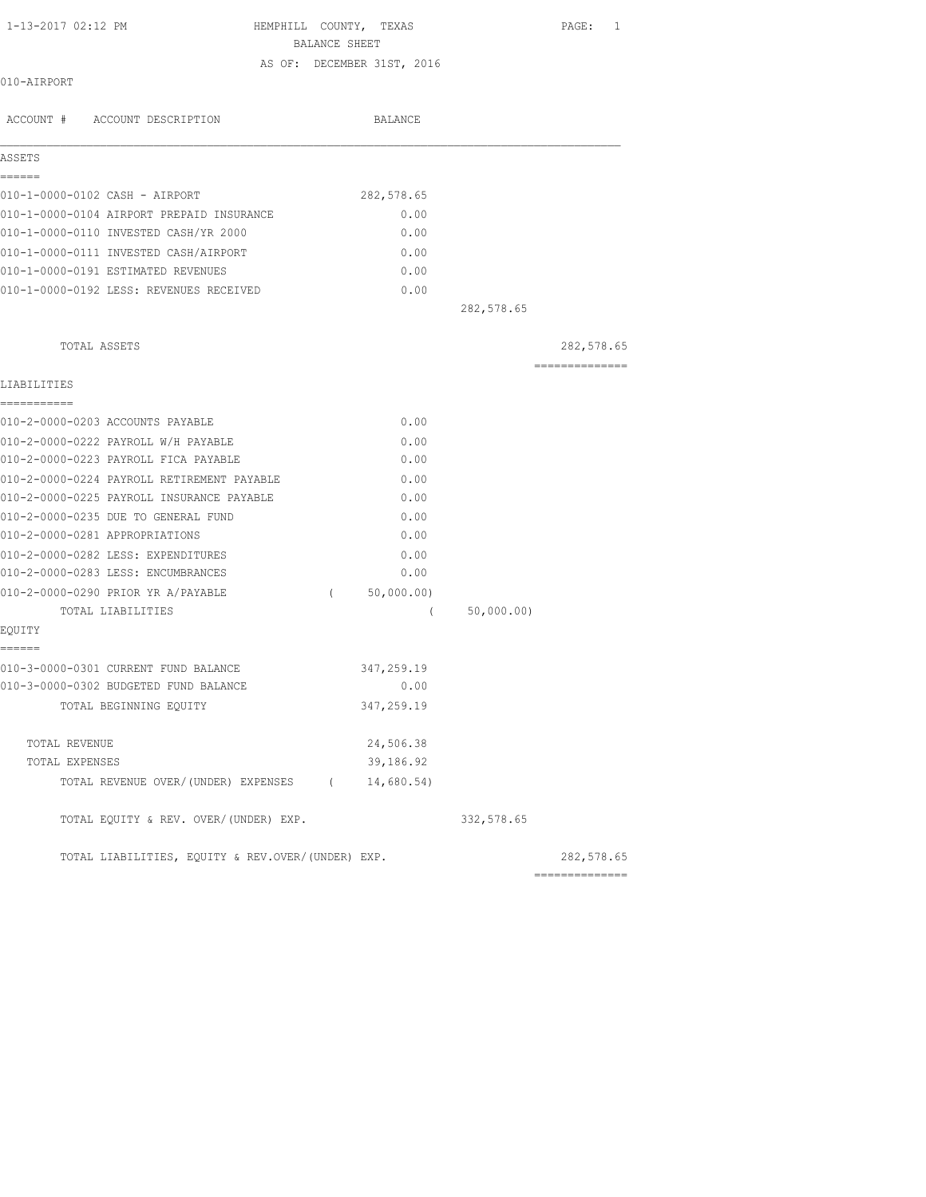HEMPHILL COUNTY, TEXAS PAGE: 1 BALANCE SHEET

AS OF: DECEMBER 31ST, 2016

# 010-AIRPORT

| ACCOUNT # ACCOUNT DESCRIPTION                     |          | BALANCE    |            |                |
|---------------------------------------------------|----------|------------|------------|----------------|
| ASSETS                                            |          |            |            |                |
| ------                                            |          |            |            |                |
| 010-1-0000-0102 CASH - AIRPORT                    |          | 282,578.65 |            |                |
| 010-1-0000-0104 AIRPORT PREPAID INSURANCE         |          | 0.00       |            |                |
| 010-1-0000-0110 INVESTED CASH/YR 2000             |          | 0.00       |            |                |
| 010-1-0000-0111 INVESTED CASH/AIRPORT             |          | 0.00       |            |                |
| 010-1-0000-0191 ESTIMATED REVENUES                |          | 0.00       |            |                |
| 010-1-0000-0192 LESS: REVENUES RECEIVED           |          | 0.00       |            |                |
|                                                   |          |            | 282,578.65 |                |
| TOTAL ASSETS                                      |          |            |            | 282,578.65     |
| LIABILITIES                                       |          |            |            | ============== |
| ===========                                       |          |            |            |                |
| 010-2-0000-0203 ACCOUNTS PAYABLE                  |          | 0.00       |            |                |
| 010-2-0000-0222 PAYROLL W/H PAYABLE               |          | 0.00       |            |                |
| 010-2-0000-0223 PAYROLL FICA PAYABLE              |          | 0.00       |            |                |
| 010-2-0000-0224 PAYROLL RETIREMENT PAYABLE        |          | 0.00       |            |                |
| 010-2-0000-0225 PAYROLL INSURANCE PAYABLE         |          | 0.00       |            |                |
| 010-2-0000-0235 DUE TO GENERAL FUND               |          | 0.00       |            |                |
| 010-2-0000-0281 APPROPRIATIONS                    |          | 0.00       |            |                |
| 010-2-0000-0282 LESS: EXPENDITURES                |          | 0.00       |            |                |
| 010-2-0000-0283 LESS: ENCUMBRANCES                |          | 0.00       |            |                |
| 010-2-0000-0290 PRIOR YR A/PAYABLE                | $\left($ | 50,000.00) |            |                |
| TOTAL LIABILITIES                                 |          | - (        | 50,000.00) |                |
| EQUITY<br>------                                  |          |            |            |                |
| 010-3-0000-0301 CURRENT FUND BALANCE              |          | 347,259.19 |            |                |
| 010-3-0000-0302 BUDGETED FUND BALANCE             |          | 0.00       |            |                |
| TOTAL BEGINNING EQUITY                            |          | 347,259.19 |            |                |
| TOTAL REVENUE                                     |          | 24,506.38  |            |                |
| TOTAL EXPENSES                                    |          | 39,186.92  |            |                |
| TOTAL REVENUE OVER/(UNDER) EXPENSES (14,680.54)   |          |            |            |                |
| TOTAL EQUITY & REV. OVER/(UNDER) EXP.             |          |            | 332,578.65 |                |
| TOTAL LIABILITIES, EQUITY & REV.OVER/(UNDER) EXP. |          |            |            | 282,578.65     |
|                                                   |          |            |            | ============== |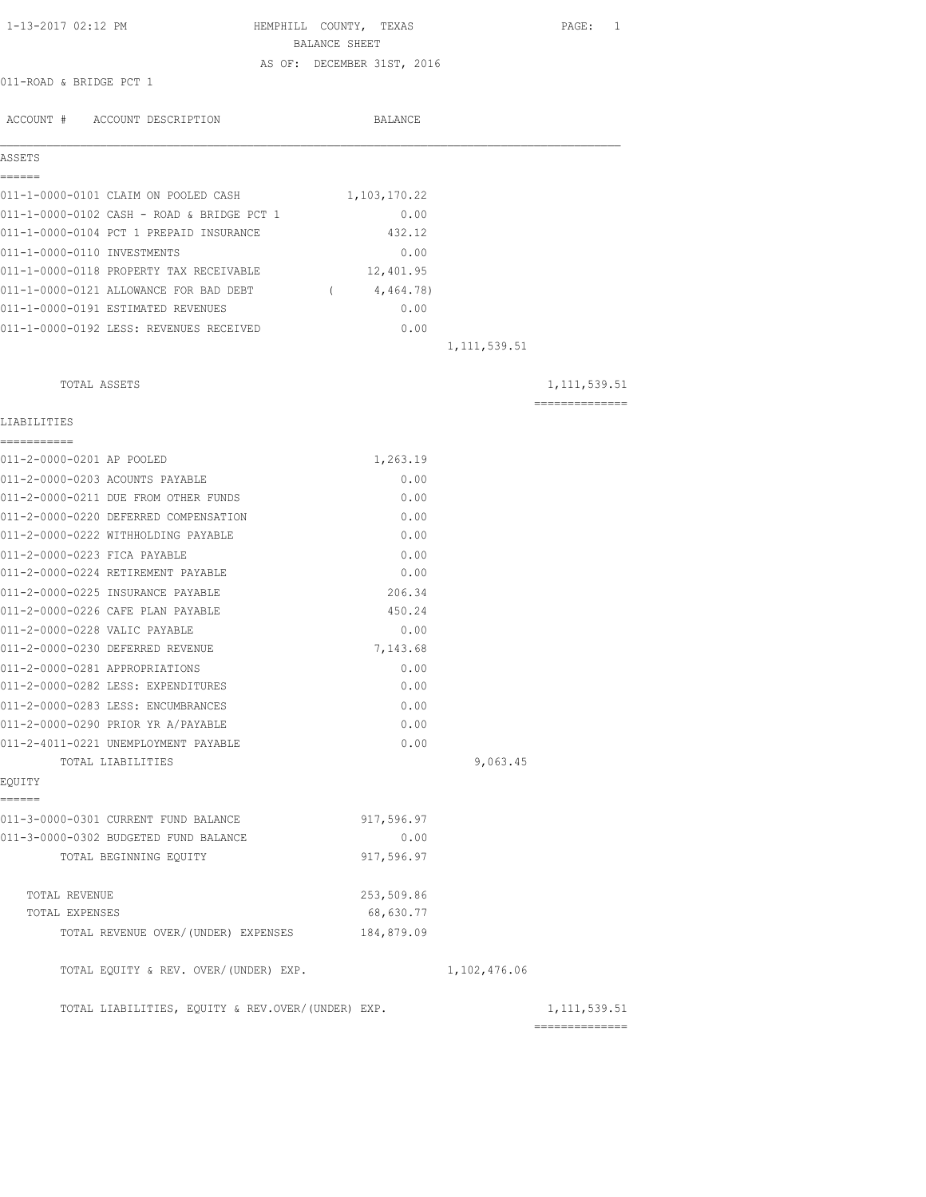| 1-13-2017 02:12 PM                                                     | HEMPHILL COUNTY, TEXAS     |                | PAGE: 1        |
|------------------------------------------------------------------------|----------------------------|----------------|----------------|
|                                                                        | BALANCE SHEET              |                |                |
|                                                                        | AS OF: DECEMBER 31ST, 2016 |                |                |
| 011-ROAD & BRIDGE PCT 1                                                |                            |                |                |
| ACCOUNT # ACCOUNT DESCRIPTION                                          | BALANCE                    |                |                |
| ASSETS                                                                 |                            |                |                |
| ======<br>011-1-0000-0101 CLAIM ON POOLED CASH                         | 1,103,170.22               |                |                |
| 011-1-0000-0102 CASH - ROAD & BRIDGE PCT 1                             | 0.00                       |                |                |
| 011-1-0000-0104 PCT 1 PREPAID INSURANCE                                | 432.12                     |                |                |
| 011-1-0000-0110 INVESTMENTS                                            | 0.00                       |                |                |
| 011-1-0000-0118 PROPERTY TAX RECEIVABLE                                | 12,401.95                  |                |                |
| 011-1-0000-0121 ALLOWANCE FOR BAD DEBT                                 | 4,464.78)<br>$\sim$ $\sim$ |                |                |
| 011-1-0000-0191 ESTIMATED REVENUES                                     | 0.00                       |                |                |
| 011-1-0000-0192 LESS: REVENUES RECEIVED                                | 0.00                       |                |                |
|                                                                        |                            | 1, 111, 539.51 |                |
|                                                                        |                            |                |                |
| TOTAL ASSETS                                                           |                            |                | 1, 111, 539.51 |
| LIABILITIES                                                            |                            |                | ============== |
| -----------                                                            |                            |                |                |
| 011-2-0000-0201 AP POOLED                                              | 1,263.19                   |                |                |
| 011-2-0000-0203 ACOUNTS PAYABLE                                        | 0.00                       |                |                |
| 011-2-0000-0211 DUE FROM OTHER FUNDS                                   | 0.00                       |                |                |
| 011-2-0000-0220 DEFERRED COMPENSATION                                  | 0.00                       |                |                |
| 011-2-0000-0222 WITHHOLDING PAYABLE                                    | 0.00                       |                |                |
| 011-2-0000-0223 FICA PAYABLE                                           | 0.00                       |                |                |
| 011-2-0000-0224 RETIREMENT PAYABLE                                     | 0.00                       |                |                |
| 011-2-0000-0225 INSURANCE PAYABLE<br>011-2-0000-0226 CAFE PLAN PAYABLE | 206.34<br>450.24           |                |                |
|                                                                        |                            |                |                |
| 011-2-0000-0228 VALIC PAYABLE<br>011-2-0000-0230 DEFERRED REVENUE      | 0.00<br>7,143.68           |                |                |
| 011-2-0000-0281 APPROPRIATIONS                                         | 0.00                       |                |                |
| 011-2-0000-0282 LESS: EXPENDITURES                                     | 0.00                       |                |                |
| 011-2-0000-0283 LESS: ENCUMBRANCES                                     | 0.00                       |                |                |
| 011-2-0000-0290 PRIOR YR A/PAYABLE                                     | 0.00                       |                |                |
| 011-2-4011-0221 UNEMPLOYMENT PAYABLE                                   | 0.00                       |                |                |
| TOTAL LIABILITIES                                                      |                            | 9,063.45       |                |
| EQUITY                                                                 |                            |                |                |
| ------<br>011-3-0000-0301 CURRENT FUND BALANCE                         | 917,596.97                 |                |                |
| 011-3-0000-0302 BUDGETED FUND BALANCE                                  | 0.00                       |                |                |
| TOTAL BEGINNING EQUITY                                                 | 917,596.97                 |                |                |
|                                                                        |                            |                |                |
| TOTAL REVENUE                                                          | 253,509.86                 |                |                |
| TOTAL EXPENSES                                                         | 68,630.77                  |                |                |
| TOTAL REVENUE OVER/ (UNDER) EXPENSES                                   | 184,879.09                 |                |                |
| TOTAL EQUITY & REV. OVER/(UNDER) EXP.                                  |                            | 1,102,476.06   |                |
| TOTAL LIABILITIES, EQUITY & REV.OVER/(UNDER) EXP.                      |                            |                | 1, 111, 539.51 |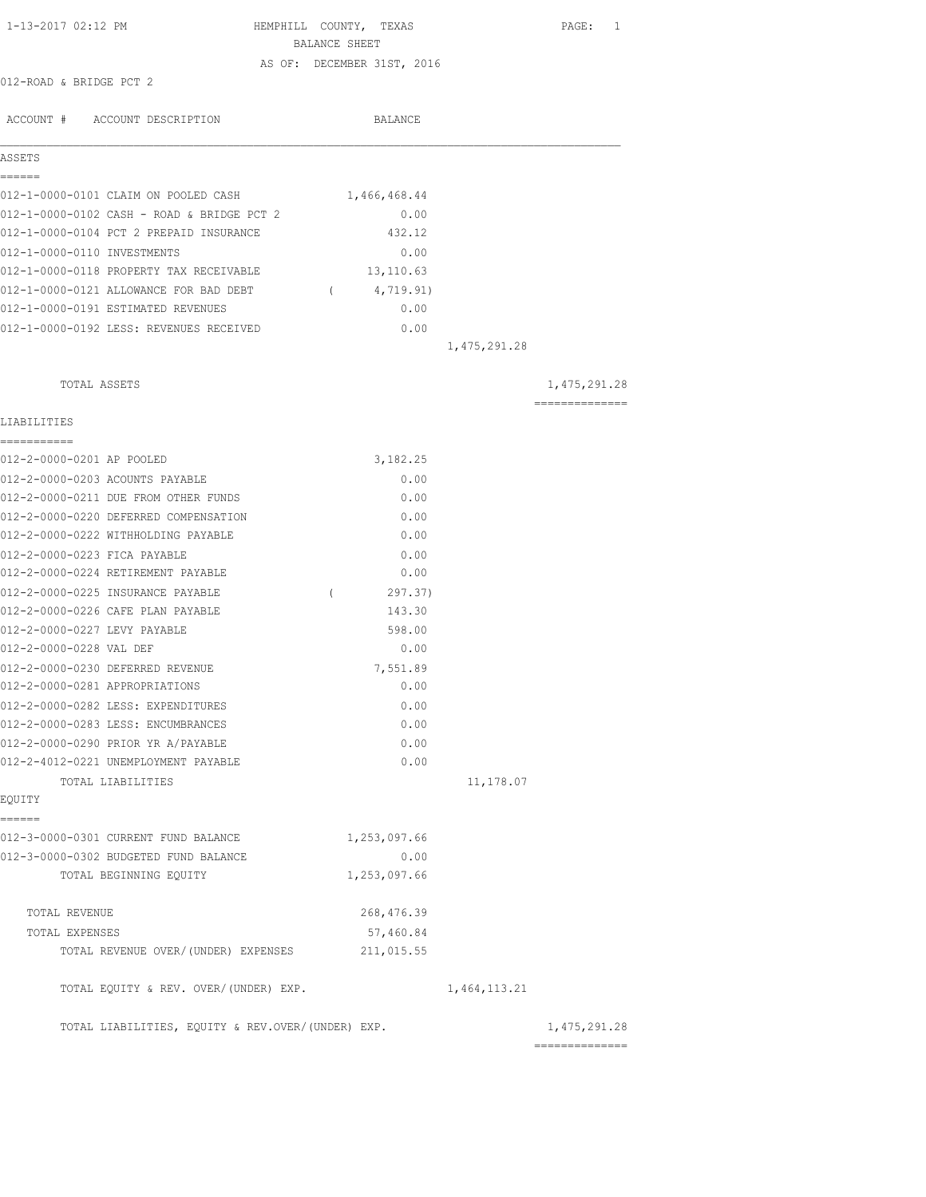| 1-13-2017 02:12 PM                                      | HEMPHILL COUNTY, TEXAS<br>BALANCE SHEET |                | PAGE: 1                         |
|---------------------------------------------------------|-----------------------------------------|----------------|---------------------------------|
|                                                         | AS OF: DECEMBER 31ST, 2016              |                |                                 |
| 012-ROAD & BRIDGE PCT 2                                 |                                         |                |                                 |
| ACCOUNT # ACCOUNT DESCRIPTION                           | BALANCE                                 |                |                                 |
| ASSETS                                                  |                                         |                |                                 |
| ------<br>012-1-0000-0101 CLAIM ON POOLED CASH          | 1,466,468.44                            |                |                                 |
| 012-1-0000-0102 CASH - ROAD & BRIDGE PCT 2              | 0.00                                    |                |                                 |
| 012-1-0000-0104 PCT 2 PREPAID INSURANCE                 | 432.12                                  |                |                                 |
| 012-1-0000-0110 INVESTMENTS                             | 0.00                                    |                |                                 |
| 012-1-0000-0118 PROPERTY TAX RECEIVABLE                 | 13, 110.63                              |                |                                 |
| 012-1-0000-0121 ALLOWANCE FOR BAD DEBT                  | 4,719.91)<br>$\sqrt{2}$                 |                |                                 |
| 012-1-0000-0191 ESTIMATED REVENUES                      | 0.00                                    |                |                                 |
| 012-1-0000-0192 LESS: REVENUES RECEIVED                 | 0.00                                    |                |                                 |
|                                                         |                                         | 1, 475, 291.28 |                                 |
| TOTAL ASSETS                                            |                                         |                | 1,475,291.28                    |
| LIABILITIES                                             |                                         |                | ==============                  |
|                                                         |                                         |                |                                 |
| 012-2-0000-0201 AP POOLED                               | 3,182.25                                |                |                                 |
| 012-2-0000-0203 ACOUNTS PAYABLE                         | 0.00                                    |                |                                 |
| 012-2-0000-0211 DUE FROM OTHER FUNDS                    | 0.00                                    |                |                                 |
| 012-2-0000-0220 DEFERRED COMPENSATION                   | 0.00                                    |                |                                 |
| 012-2-0000-0222 WITHHOLDING PAYABLE                     | 0.00                                    |                |                                 |
| 012-2-0000-0223 FICA PAYABLE                            | 0.00                                    |                |                                 |
| 012-2-0000-0224 RETIREMENT PAYABLE                      | 0.00                                    |                |                                 |
| 012-2-0000-0225 INSURANCE PAYABLE                       | 297.37)<br>$\left($                     |                |                                 |
| 012-2-0000-0226 CAFE PLAN PAYABLE                       | 143.30                                  |                |                                 |
| 012-2-0000-0227 LEVY PAYABLE<br>012-2-0000-0228 VAL DEF | 598.00<br>0.00                          |                |                                 |
| 012-2-0000-0230 DEFERRED REVENUE                        | 7,551.89                                |                |                                 |
| 012-2-0000-0281 APPROPRIATIONS                          | 0.00                                    |                |                                 |
| 012-2-0000-0282 LESS: EXPENDITURES                      | 0.00                                    |                |                                 |
| 012-2-0000-0283 LESS: ENCUMBRANCES                      | 0.00                                    |                |                                 |
| 012-2-0000-0290 PRIOR YR A/PAYABLE                      | 0.00                                    |                |                                 |
| 012-2-4012-0221 UNEMPLOYMENT PAYABLE                    | 0.00                                    |                |                                 |
| TOTAL LIABILITIES                                       |                                         | 11,178.07      |                                 |
| EQUITY                                                  |                                         |                |                                 |
| ======                                                  |                                         |                |                                 |
| 012-3-0000-0301 CURRENT FUND BALANCE                    | 1,253,097.66                            |                |                                 |
| 012-3-0000-0302 BUDGETED FUND BALANCE                   | 0.00                                    |                |                                 |
| TOTAL BEGINNING EOUITY                                  | 1,253,097.66                            |                |                                 |
| TOTAL REVENUE                                           | 268, 476.39                             |                |                                 |
| TOTAL EXPENSES                                          | 57,460.84                               |                |                                 |
| TOTAL REVENUE OVER/(UNDER) EXPENSES                     | 211,015.55                              |                |                                 |
| TOTAL EQUITY & REV. OVER/(UNDER) EXP.                   |                                         | 1,464,113.21   |                                 |
| TOTAL LIABILITIES, EQUITY & REV.OVER/(UNDER) EXP.       |                                         |                | 1,475,291.28<br>--------------- |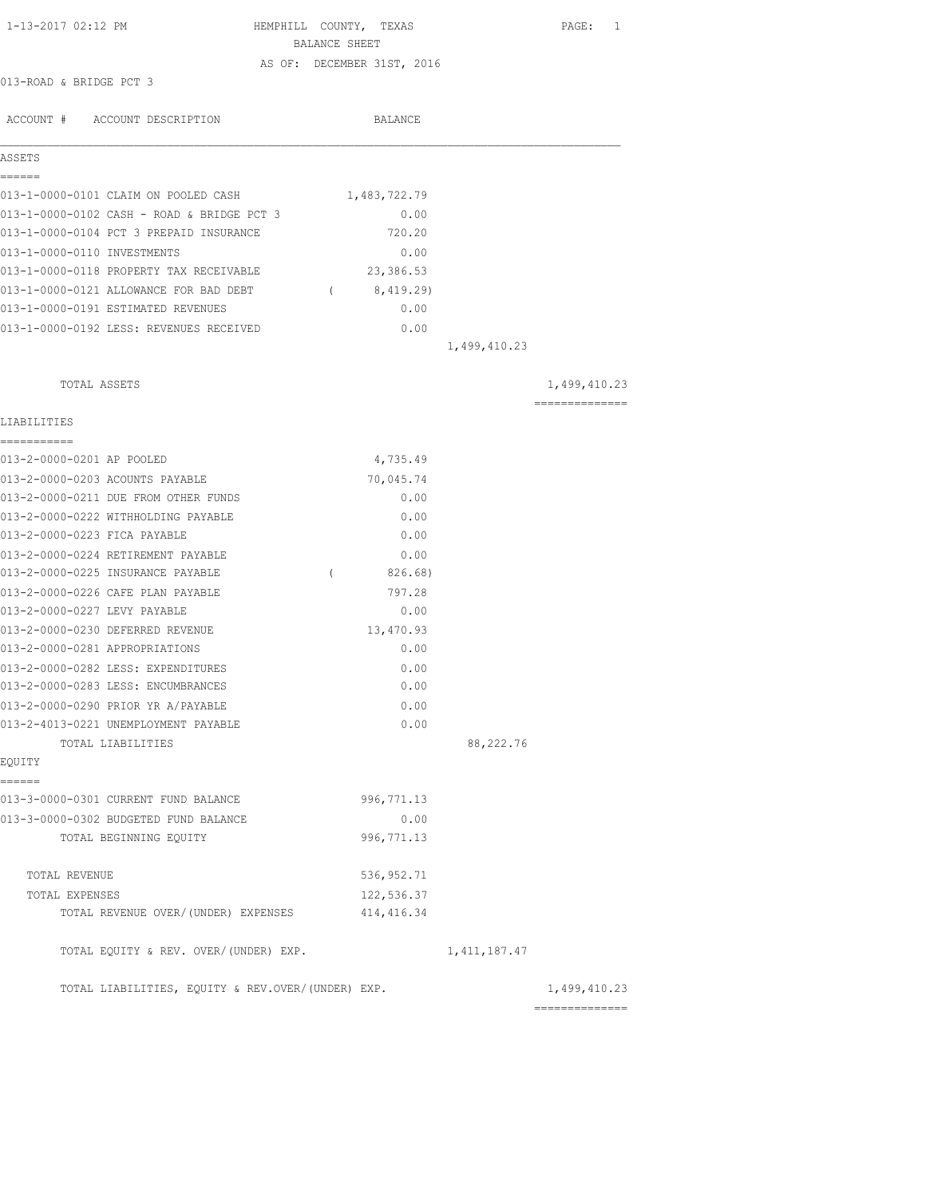| 1-13-2017 02:12 PM                                | HEMPHILL COUNTY, TEXAS<br>BALANCE SHEET |                | PAGE: 1        |
|---------------------------------------------------|-----------------------------------------|----------------|----------------|
|                                                   | AS OF: DECEMBER 31ST, 2016              |                |                |
| 013-ROAD & BRIDGE PCT 3                           |                                         |                |                |
|                                                   |                                         |                |                |
| ACCOUNT # ACCOUNT DESCRIPTION                     | <b>BALANCE</b>                          |                |                |
| ASSETS                                            |                                         |                |                |
|                                                   |                                         |                |                |
| ======<br>013-1-0000-0101 CLAIM ON POOLED CASH    | 1,483,722.79                            |                |                |
| 013-1-0000-0102 CASH - ROAD & BRIDGE PCT 3        | 0.00                                    |                |                |
| 013-1-0000-0104 PCT 3 PREPAID INSURANCE           | 720.20                                  |                |                |
| 013-1-0000-0110 INVESTMENTS                       | 0.00                                    |                |                |
| 013-1-0000-0118 PROPERTY TAX RECEIVABLE           | 23,386.53                               |                |                |
| 013-1-0000-0121 ALLOWANCE FOR BAD DEBT            | (8, 419.29)                             |                |                |
| 013-1-0000-0191 ESTIMATED REVENUES                | 0.00                                    |                |                |
| 013-1-0000-0192 LESS: REVENUES RECEIVED           | 0.00                                    |                |                |
|                                                   |                                         | 1,499,410.23   |                |
|                                                   |                                         |                |                |
| TOTAL ASSETS                                      |                                         |                | 1,499,410.23   |
|                                                   |                                         |                | ============== |
| LIABILITIES<br>___________                        |                                         |                |                |
| 013-2-0000-0201 AP POOLED                         | 4,735.49                                |                |                |
| 013-2-0000-0203 ACOUNTS PAYABLE                   | 70,045.74                               |                |                |
| 013-2-0000-0211 DUE FROM OTHER FUNDS              | 0.00                                    |                |                |
| 013-2-0000-0222 WITHHOLDING PAYABLE               | 0.00                                    |                |                |
| 013-2-0000-0223 FICA PAYABLE                      | 0.00                                    |                |                |
| 013-2-0000-0224 RETIREMENT PAYABLE                | 0.00                                    |                |                |
| 013-2-0000-0225 INSURANCE PAYABLE                 | $\left($<br>826.68)                     |                |                |
| 013-2-0000-0226 CAFE PLAN PAYABLE                 | 797.28                                  |                |                |
| 013-2-0000-0227 LEVY PAYABLE                      | 0.00                                    |                |                |
| 013-2-0000-0230 DEFERRED REVENUE                  | 13,470.93                               |                |                |
| 013-2-0000-0281 APPROPRIATIONS                    | 0.00                                    |                |                |
| 013-2-0000-0282 LESS: EXPENDITURES                | 0.00                                    |                |                |
| 013-2-0000-0283 LESS: ENCUMBRANCES                | 0.00                                    |                |                |
| 013-2-0000-0290 PRIOR YR A/PAYABLE                | 0.00                                    |                |                |
| 013-2-4013-0221 UNEMPLOYMENT PAYABLE              | 0.00                                    |                |                |
| TOTAL LIABILITIES                                 |                                         | 88,222.76      |                |
| EQUITY                                            |                                         |                |                |
| ======                                            |                                         |                |                |
| 013-3-0000-0301 CURRENT FUND BALANCE              | 996, 771.13                             |                |                |
| 013-3-0000-0302 BUDGETED FUND BALANCE             | 0.00                                    |                |                |
| TOTAL BEGINNING EQUITY                            | 996, 771.13                             |                |                |
| TOTAL REVENUE                                     | 536, 952.71                             |                |                |
| TOTAL EXPENSES                                    | 122,536.37                              |                |                |
| TOTAL REVENUE OVER/(UNDER) EXPENSES               | 414, 416.34                             |                |                |
| TOTAL EQUITY & REV. OVER/(UNDER) EXP.             |                                         | 1, 411, 187.47 |                |
|                                                   |                                         |                |                |
| TOTAL LIABILITIES, EQUITY & REV.OVER/(UNDER) EXP. |                                         |                | 1,499,410.23   |

==============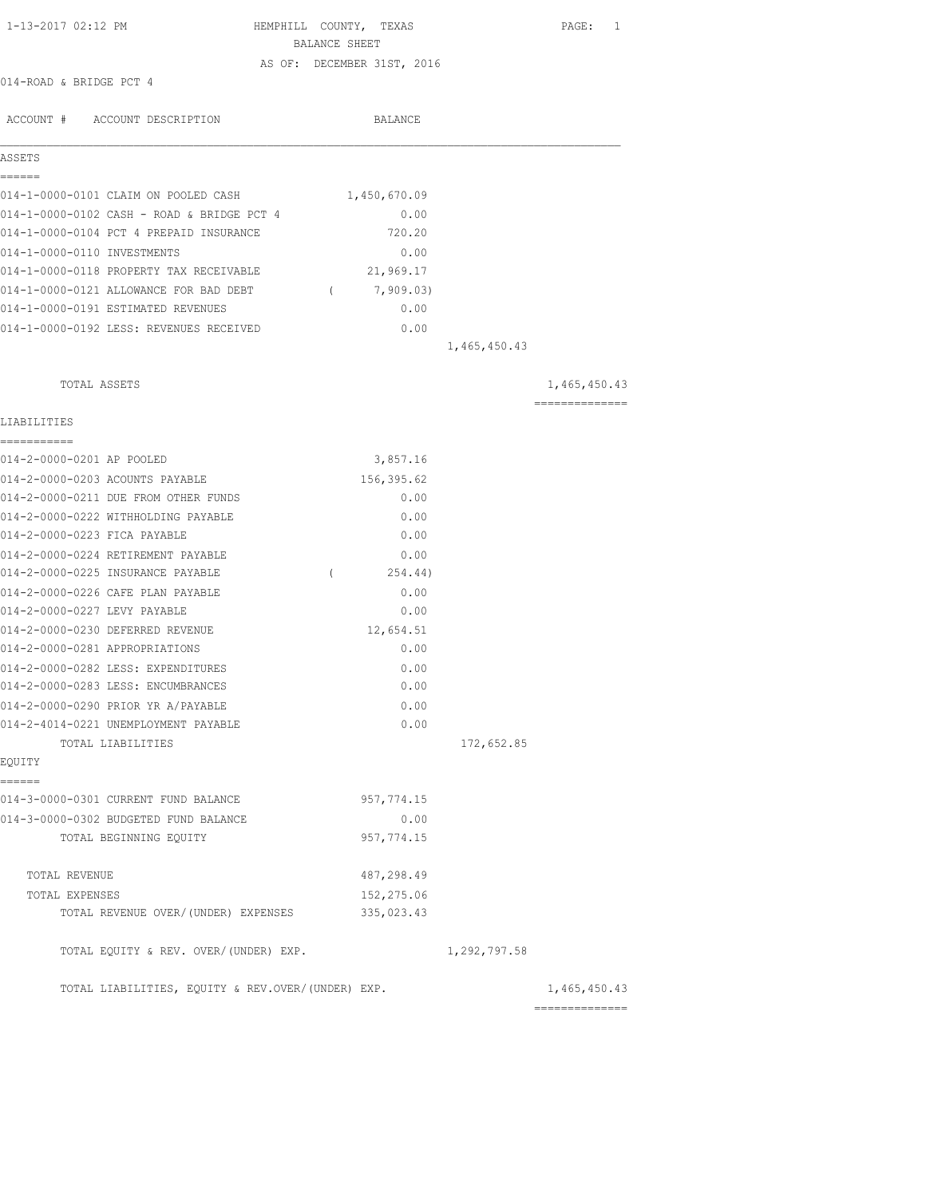| 1-13-2017 02:12 PM                                | HEMPHILL COUNTY, TEXAS<br>BALANCE SHEET |              | PAGE: 1        |
|---------------------------------------------------|-----------------------------------------|--------------|----------------|
|                                                   | AS OF: DECEMBER 31ST, 2016              |              |                |
| 014-ROAD & BRIDGE PCT 4                           |                                         |              |                |
|                                                   |                                         |              |                |
| ACCOUNT # ACCOUNT DESCRIPTION                     | BALANCE                                 |              |                |
|                                                   |                                         |              |                |
| ASSETS                                            |                                         |              |                |
| ======                                            |                                         |              |                |
| 014-1-0000-0101 CLAIM ON POOLED CASH              | 1,450,670.09                            |              |                |
| 014-1-0000-0102 CASH - ROAD & BRIDGE PCT 4        | 0.00                                    |              |                |
| 014-1-0000-0104 PCT 4 PREPAID INSURANCE           | 720.20                                  |              |                |
| 014-1-0000-0110 INVESTMENTS                       | 0.00                                    |              |                |
| 014-1-0000-0118 PROPERTY TAX RECEIVABLE           | 21,969.17                               |              |                |
| 014-1-0000-0121 ALLOWANCE FOR BAD DEBT            | 7,909.03)<br>$\sim$ $\sim$              |              |                |
| 014-1-0000-0191 ESTIMATED REVENUES                | 0.00                                    |              |                |
| 014-1-0000-0192 LESS: REVENUES RECEIVED           | 0.00                                    |              |                |
|                                                   |                                         | 1,465,450.43 |                |
|                                                   |                                         |              |                |
| TOTAL ASSETS                                      |                                         |              | 1,465,450.43   |
|                                                   |                                         |              | -------------- |
| LIABILITIES                                       |                                         |              |                |
| ===========                                       |                                         |              |                |
| 014-2-0000-0201 AP POOLED                         | 3,857.16                                |              |                |
| 014-2-0000-0203 ACOUNTS PAYABLE                   | 156,395.62                              |              |                |
| 014-2-0000-0211 DUE FROM OTHER FUNDS              | 0.00                                    |              |                |
| 014-2-0000-0222 WITHHOLDING PAYABLE               | 0.00                                    |              |                |
| 014-2-0000-0223 FICA PAYABLE                      | 0.00                                    |              |                |
| 014-2-0000-0224 RETIREMENT PAYABLE                | 0.00                                    |              |                |
| 014-2-0000-0225 INSURANCE PAYABLE                 | 254.44)<br>$\left($                     |              |                |
| 014-2-0000-0226 CAFE PLAN PAYABLE                 | 0.00                                    |              |                |
| 014-2-0000-0227 LEVY PAYABLE                      | 0.00                                    |              |                |
| 014-2-0000-0230 DEFERRED REVENUE                  | 12,654.51                               |              |                |
| 014-2-0000-0281 APPROPRIATIONS                    | 0.00                                    |              |                |
| 014-2-0000-0282 LESS: EXPENDITURES                | 0.00                                    |              |                |
| 014-2-0000-0283 LESS: ENCUMBRANCES                | 0.00                                    |              |                |
| 014-2-0000-0290 PRIOR YR A/PAYABLE                | 0.00                                    |              |                |
| 014-2-4014-0221 UNEMPLOYMENT PAYABLE              | 0.00                                    |              |                |
| TOTAL LIABILITIES                                 |                                         | 172,652.85   |                |
| EQUITY                                            |                                         |              |                |
| ======                                            |                                         |              |                |
| 014-3-0000-0301 CURRENT FUND BALANCE              | 957, 774.15                             |              |                |
| 014-3-0000-0302 BUDGETED FUND BALANCE             | 0.00                                    |              |                |
| TOTAL BEGINNING EQUITY                            | 957, 774.15                             |              |                |
|                                                   |                                         |              |                |
| TOTAL REVENUE                                     | 487,298.49                              |              |                |
| TOTAL EXPENSES                                    | 152,275.06                              |              |                |
| TOTAL REVENUE OVER/(UNDER) EXPENSES               | 335,023.43                              |              |                |
| TOTAL EQUITY & REV. OVER/(UNDER) EXP.             |                                         | 1,292,797.58 |                |
|                                                   |                                         |              |                |
| TOTAL LIABILITIES, EQUITY & REV.OVER/(UNDER) EXP. |                                         |              | 1,465,450.43   |

==============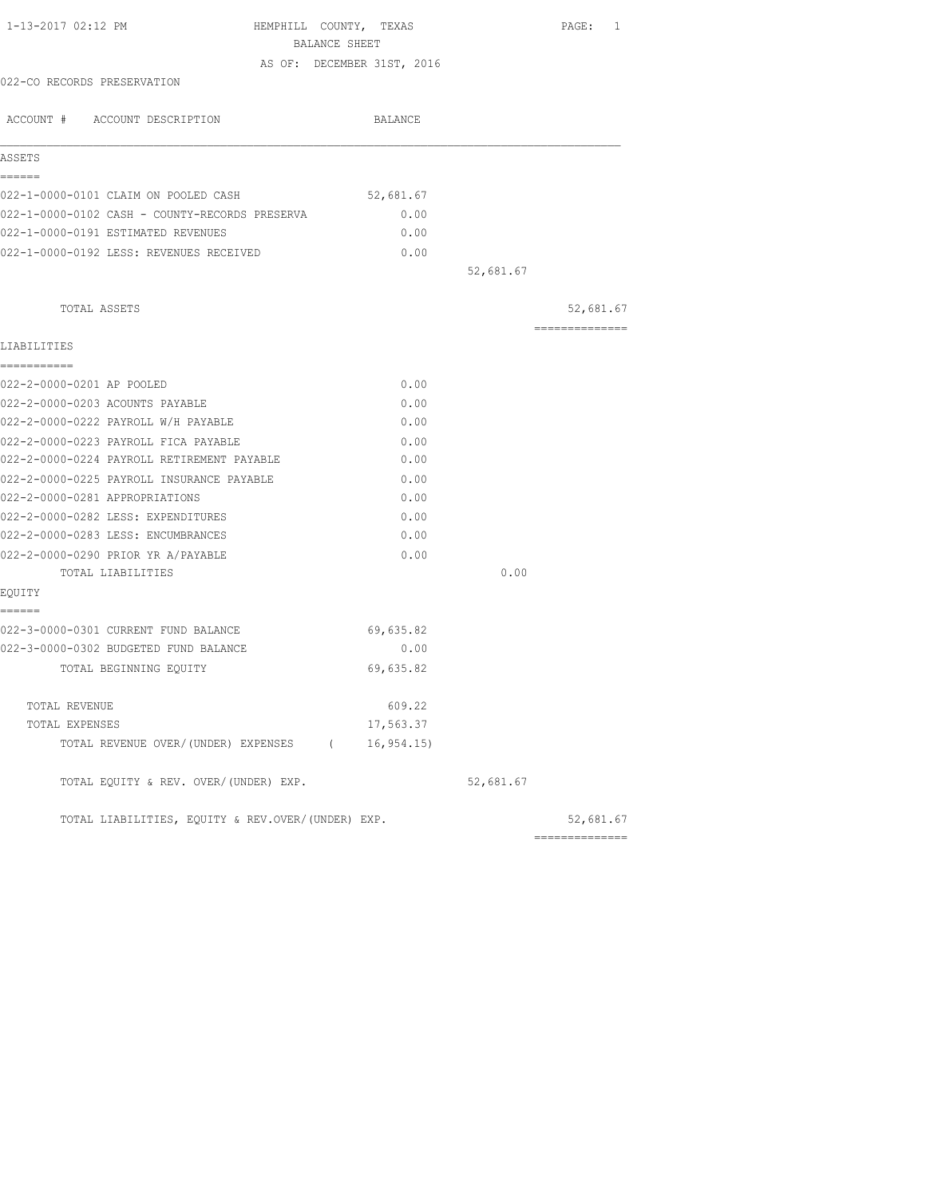| 1-13-2017 02:12 PM<br>HEMPHILL COUNTY, TEXAS<br>BALANCE SHEET |                            |           | PAGE: 1        |
|---------------------------------------------------------------|----------------------------|-----------|----------------|
|                                                               | AS OF: DECEMBER 31ST, 2016 |           |                |
| 022-CO RECORDS PRESERVATION                                   |                            |           |                |
| ACCOUNT # ACCOUNT DESCRIPTION                                 | BALANCE                    |           |                |
|                                                               |                            |           |                |
| ASSETS                                                        |                            |           |                |
| ======<br>022-1-0000-0101 CLAIM ON POOLED CASH                | 52,681.67                  |           |                |
| 022-1-0000-0102 CASH - COUNTY-RECORDS PRESERVA                | 0.00                       |           |                |
| 022-1-0000-0191 ESTIMATED REVENUES                            | 0.00                       |           |                |
| 022-1-0000-0192 LESS: REVENUES RECEIVED                       | 0.00                       |           |                |
|                                                               |                            | 52,681.67 |                |
| TOTAL ASSETS                                                  |                            |           | 52,681.67      |
|                                                               |                            |           | ============== |
| LIABILITIES<br>===========                                    |                            |           |                |
| 022-2-0000-0201 AP POOLED                                     | 0.00                       |           |                |
| 022-2-0000-0203 ACOUNTS PAYABLE                               | 0.00                       |           |                |
| 022-2-0000-0222 PAYROLL W/H PAYABLE                           | 0.00                       |           |                |
| 022-2-0000-0223 PAYROLL FICA PAYABLE                          | 0.00                       |           |                |
| 022-2-0000-0224 PAYROLL RETIREMENT PAYABLE                    | 0.00                       |           |                |
| 022-2-0000-0225 PAYROLL INSURANCE PAYABLE                     | 0.00                       |           |                |
| 022-2-0000-0281 APPROPRIATIONS                                | 0.00                       |           |                |
| 022-2-0000-0282 LESS: EXPENDITURES                            | 0.00                       |           |                |
| 022-2-0000-0283 LESS: ENCUMBRANCES                            | 0.00                       |           |                |
| 022-2-0000-0290 PRIOR YR A/PAYABLE                            | 0.00                       |           |                |
| TOTAL LIABILITIES                                             |                            | 0.00      |                |
| EQUITY                                                        |                            |           |                |
| ======                                                        |                            |           |                |
| 022-3-0000-0301 CURRENT FUND BALANCE                          | 69,635.82                  |           |                |
| 022-3-0000-0302 BUDGETED FUND BALANCE                         | 0.00                       |           |                |
| TOTAL BEGINNING EQUITY                                        | 69,635.82                  |           |                |
| TOTAL REVENUE                                                 | 609.22                     |           |                |
| TOTAL EXPENSES                                                | 17,563.37                  |           |                |
| TOTAL REVENUE OVER/(UNDER) EXPENSES (                         | 16, 954.15                 |           |                |
| TOTAL EQUITY & REV. OVER/(UNDER) EXP.                         |                            | 52,681.67 |                |
| TOTAL LIABILITIES, EQUITY & REV.OVER/(UNDER) EXP.             |                            |           | 52,681.67      |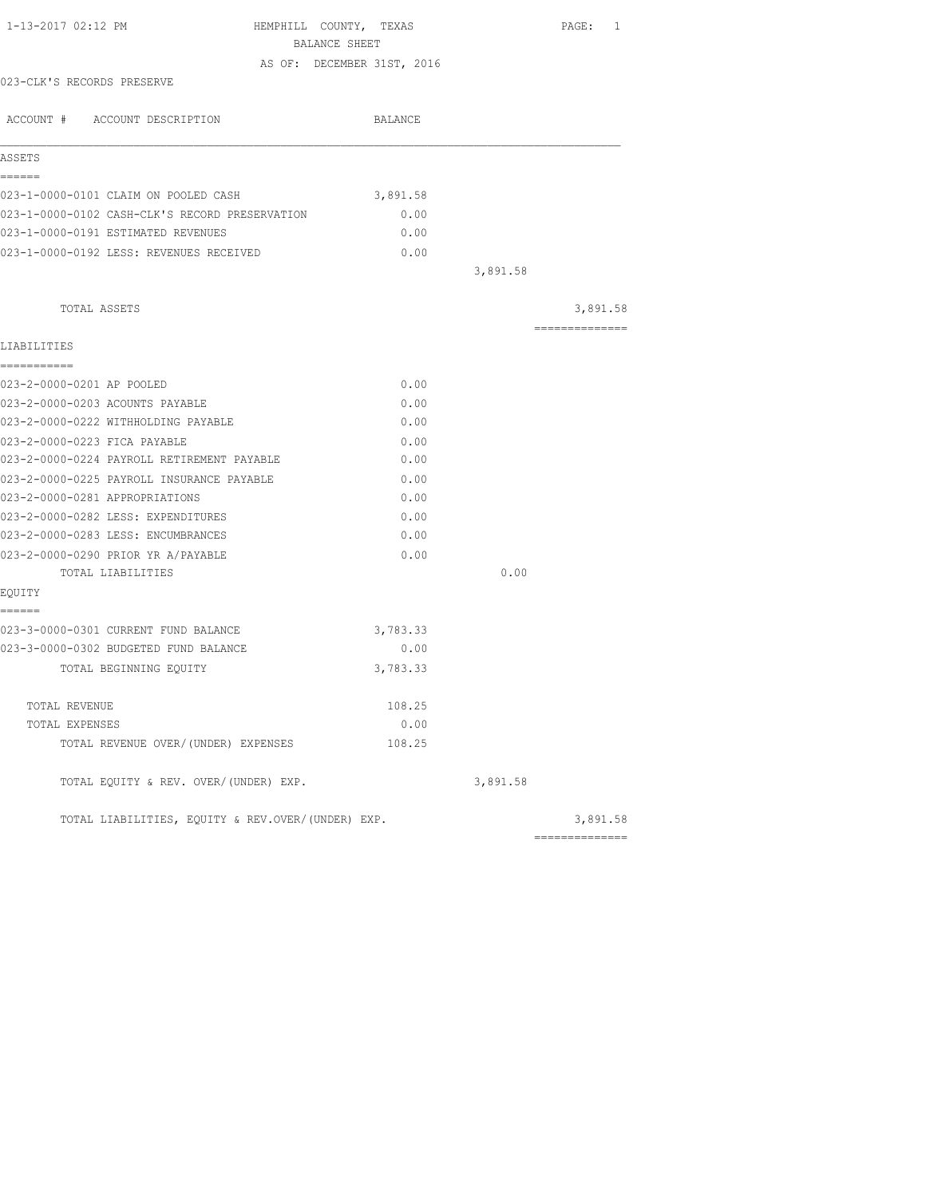| BALANCE SHEET<br>AS OF: DECEMBER 31ST, 2016<br>023-CLK'S RECORDS PRESERVE<br>ACCOUNT # ACCOUNT DESCRIPTION<br>BALANCE<br>ASSETS<br>======<br>023-1-0000-0101 CLAIM ON POOLED CASH<br>3,891.58<br>023-1-0000-0102 CASH-CLK'S RECORD PRESERVATION<br>0.00<br>023-1-0000-0191 ESTIMATED REVENUES<br>0.00<br>023-1-0000-0192 LESS: REVENUES RECEIVED<br>0.00 |          |
|----------------------------------------------------------------------------------------------------------------------------------------------------------------------------------------------------------------------------------------------------------------------------------------------------------------------------------------------------------|----------|
|                                                                                                                                                                                                                                                                                                                                                          |          |
|                                                                                                                                                                                                                                                                                                                                                          |          |
|                                                                                                                                                                                                                                                                                                                                                          |          |
|                                                                                                                                                                                                                                                                                                                                                          |          |
|                                                                                                                                                                                                                                                                                                                                                          |          |
|                                                                                                                                                                                                                                                                                                                                                          |          |
|                                                                                                                                                                                                                                                                                                                                                          |          |
|                                                                                                                                                                                                                                                                                                                                                          |          |
|                                                                                                                                                                                                                                                                                                                                                          |          |
| 3,891.58                                                                                                                                                                                                                                                                                                                                                 |          |
|                                                                                                                                                                                                                                                                                                                                                          |          |
| TOTAL ASSETS<br>==============                                                                                                                                                                                                                                                                                                                           | 3,891.58 |
| LIABILITIES                                                                                                                                                                                                                                                                                                                                              |          |
| ===========                                                                                                                                                                                                                                                                                                                                              |          |
| 023-2-0000-0201 AP POOLED<br>0.00                                                                                                                                                                                                                                                                                                                        |          |
| 023-2-0000-0203 ACOUNTS PAYABLE<br>0.00                                                                                                                                                                                                                                                                                                                  |          |
| 023-2-0000-0222 WITHHOLDING PAYABLE<br>0.00                                                                                                                                                                                                                                                                                                              |          |
| 023-2-0000-0223 FICA PAYABLE<br>0.00                                                                                                                                                                                                                                                                                                                     |          |
| 023-2-0000-0224 PAYROLL RETIREMENT PAYABLE<br>0.00                                                                                                                                                                                                                                                                                                       |          |
| 023-2-0000-0225 PAYROLL INSURANCE PAYABLE<br>0.00                                                                                                                                                                                                                                                                                                        |          |
| 023-2-0000-0281 APPROPRIATIONS<br>0.00                                                                                                                                                                                                                                                                                                                   |          |
| 023-2-0000-0282 LESS: EXPENDITURES<br>0.00                                                                                                                                                                                                                                                                                                               |          |
| 023-2-0000-0283 LESS: ENCUMBRANCES<br>0.00                                                                                                                                                                                                                                                                                                               |          |
| 023-2-0000-0290 PRIOR YR A/PAYABLE<br>0.00                                                                                                                                                                                                                                                                                                               |          |
| 0.00<br>TOTAL LIABILITIES                                                                                                                                                                                                                                                                                                                                |          |
| EQUITY<br>======                                                                                                                                                                                                                                                                                                                                         |          |
| 023-3-0000-0301 CURRENT FUND BALANCE<br>3,783.33                                                                                                                                                                                                                                                                                                         |          |
| 023-3-0000-0302 BUDGETED FUND BALANCE<br>0.00                                                                                                                                                                                                                                                                                                            |          |
| 3,783.33<br>TOTAL BEGINNING EQUITY                                                                                                                                                                                                                                                                                                                       |          |
| 108.25<br>TOTAL REVENUE                                                                                                                                                                                                                                                                                                                                  |          |
| 0.00<br>TOTAL EXPENSES                                                                                                                                                                                                                                                                                                                                   |          |
| TOTAL REVENUE OVER/(UNDER) EXPENSES<br>108.25                                                                                                                                                                                                                                                                                                            |          |
| TOTAL EQUITY & REV. OVER/(UNDER) EXP.<br>3,891.58                                                                                                                                                                                                                                                                                                        |          |
|                                                                                                                                                                                                                                                                                                                                                          |          |
| TOTAL LIABILITIES, EQUITY & REV.OVER/(UNDER) EXP.<br>==============                                                                                                                                                                                                                                                                                      | 3,891.58 |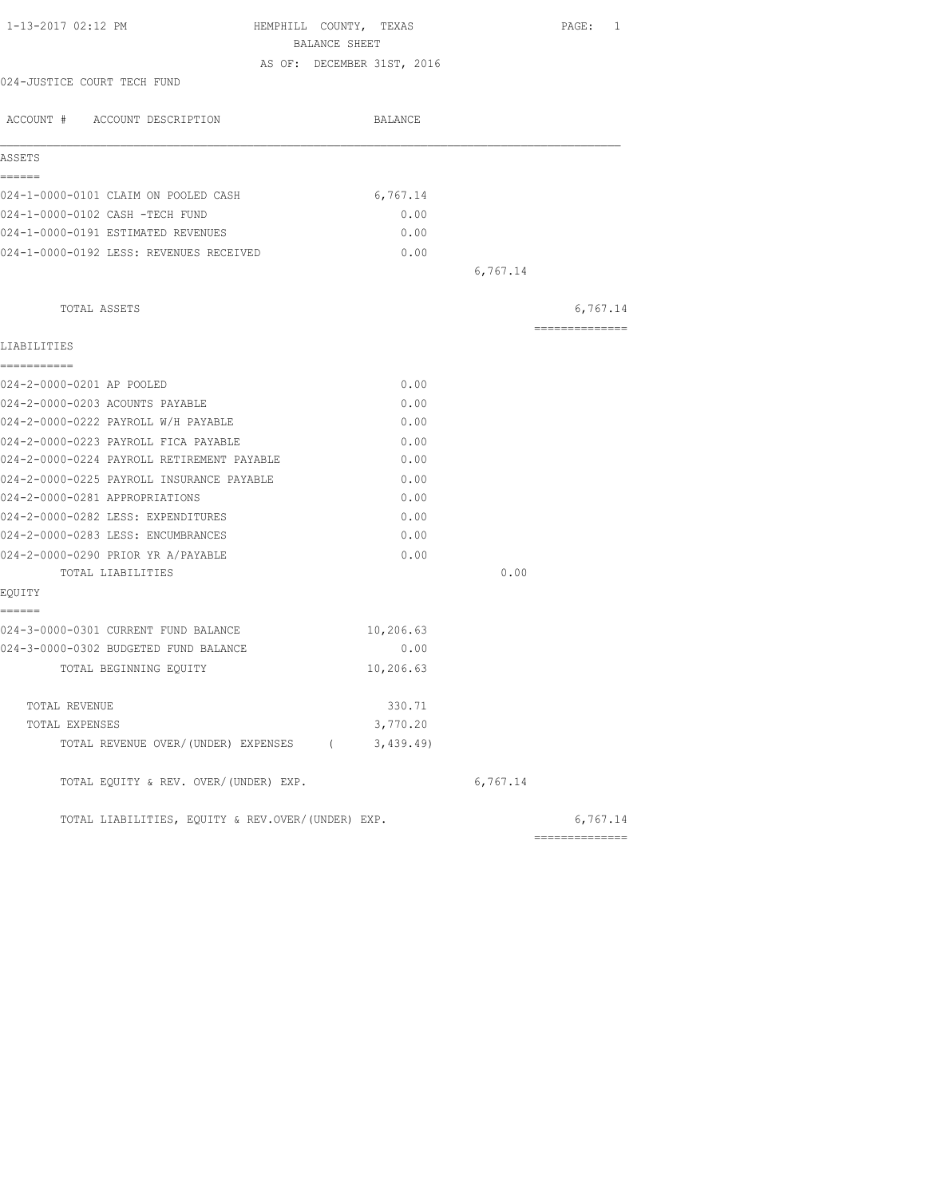|                                                    |          | PAGE: 1        |
|----------------------------------------------------|----------|----------------|
| BALANCE SHEET                                      |          |                |
| AS OF: DECEMBER 31ST, 2016                         |          |                |
| 024-JUSTICE COURT TECH FUND                        |          |                |
| ACCOUNT # ACCOUNT DESCRIPTION<br>BALANCE           |          |                |
| ASSETS                                             |          |                |
| ======                                             |          |                |
| 024-1-0000-0101 CLAIM ON POOLED CASH<br>6,767.14   |          |                |
| 024-1-0000-0102 CASH -TECH FUND<br>0.00            |          |                |
| 024-1-0000-0191 ESTIMATED REVENUES<br>0.00         |          |                |
| 0.00<br>024-1-0000-0192 LESS: REVENUES RECEIVED    |          |                |
|                                                    | 6,767.14 |                |
| TOTAL ASSETS                                       |          | 6,767.14       |
| LIABILITIES                                        |          | ============== |
| ===========                                        |          |                |
| 024-2-0000-0201 AP POOLED<br>0.00                  |          |                |
| 024-2-0000-0203 ACOUNTS PAYABLE<br>0.00            |          |                |
| 024-2-0000-0222 PAYROLL W/H PAYABLE<br>0.00        |          |                |
| 024-2-0000-0223 PAYROLL FICA PAYABLE<br>0.00       |          |                |
| 024-2-0000-0224 PAYROLL RETIREMENT PAYABLE<br>0.00 |          |                |
| 024-2-0000-0225 PAYROLL INSURANCE PAYABLE<br>0.00  |          |                |
| 024-2-0000-0281 APPROPRIATIONS<br>0.00             |          |                |
| 024-2-0000-0282 LESS: EXPENDITURES<br>0.00         |          |                |
| 024-2-0000-0283 LESS: ENCUMBRANCES<br>0.00         |          |                |
| 024-2-0000-0290 PRIOR YR A/PAYABLE<br>0.00         |          |                |
| TOTAL LIABILITIES                                  | 0.00     |                |
| EQUITY<br>------                                   |          |                |
| 024-3-0000-0301 CURRENT FUND BALANCE<br>10,206.63  |          |                |
| 024-3-0000-0302 BUDGETED FUND BALANCE<br>0.00      |          |                |
| 10,206.63<br>TOTAL BEGINNING EQUITY                |          |                |
| 330.71<br>TOTAL REVENUE                            |          |                |
| 3,770.20<br>TOTAL EXPENSES                         |          |                |
| TOTAL REVENUE OVER/(UNDER) EXPENSES (<br>3,439.49) |          |                |
| TOTAL EQUITY & REV. OVER/(UNDER) EXP.              | 6,767.14 |                |
| TOTAL LIABILITIES, EOUITY & REV.OVER/(UNDER) EXP.  |          | 6,767.14       |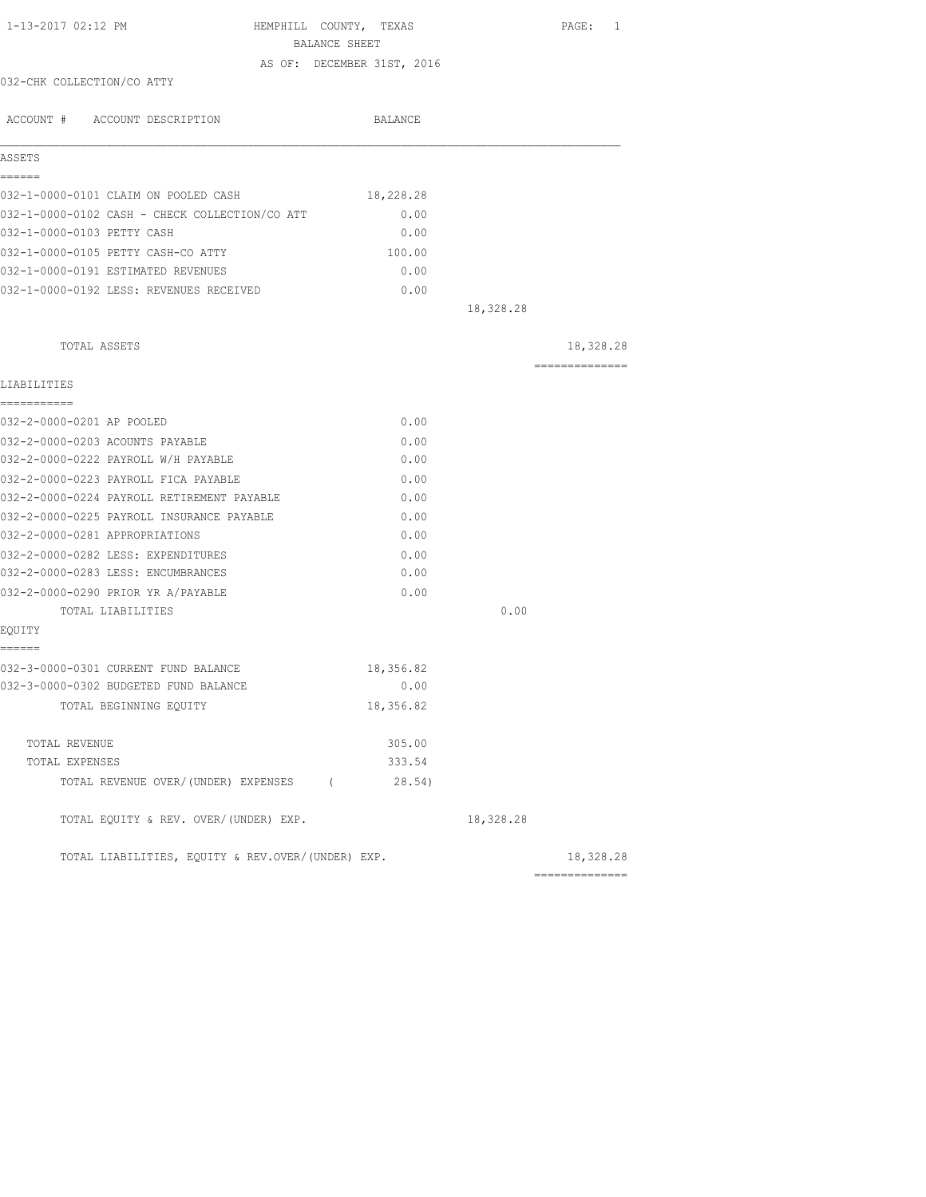| 1-13-2017 02:12 PM                                | HEMPHILL COUNTY, TEXAS<br>BALANCE SHEET |           | PAGE: 1        |
|---------------------------------------------------|-----------------------------------------|-----------|----------------|
|                                                   | AS OF: DECEMBER 31ST, 2016              |           |                |
| 032-CHK COLLECTION/CO ATTY                        |                                         |           |                |
| ACCOUNT # ACCOUNT DESCRIPTION                     | BALANCE                                 |           |                |
| ASSETS                                            |                                         |           |                |
| ======                                            |                                         |           |                |
| 032-1-0000-0101 CLAIM ON POOLED CASH              | 18,228.28                               |           |                |
| 032-1-0000-0102 CASH - CHECK COLLECTION/CO ATT    | 0.00                                    |           |                |
| 032-1-0000-0103 PETTY CASH                        | 0.00                                    |           |                |
| 032-1-0000-0105 PETTY CASH-CO ATTY                | 100.00                                  |           |                |
| 032-1-0000-0191 ESTIMATED REVENUES                | 0.00                                    |           |                |
| 032-1-0000-0192 LESS: REVENUES RECEIVED           | 0.00                                    |           |                |
|                                                   |                                         | 18,328.28 |                |
| TOTAL ASSETS                                      |                                         |           | 18,328.28      |
|                                                   |                                         |           | ============== |
| LIABILITIES                                       |                                         |           |                |
| -----------                                       |                                         |           |                |
| 032-2-0000-0201 AP POOLED                         | 0.00                                    |           |                |
| 032-2-0000-0203 ACOUNTS PAYABLE                   | 0.00                                    |           |                |
| 032-2-0000-0222 PAYROLL W/H PAYABLE               | 0.00                                    |           |                |
| 032-2-0000-0223 PAYROLL FICA PAYABLE              | 0.00                                    |           |                |
| 032-2-0000-0224 PAYROLL RETIREMENT PAYABLE        | 0.00                                    |           |                |
| 032-2-0000-0225 PAYROLL INSURANCE PAYABLE         | 0.00                                    |           |                |
| 032-2-0000-0281 APPROPRIATIONS                    | 0.00                                    |           |                |
| 032-2-0000-0282 LESS: EXPENDITURES                | 0.00                                    |           |                |
| 032-2-0000-0283 LESS: ENCUMBRANCES                | 0.00                                    |           |                |
| 032-2-0000-0290 PRIOR YR A/PAYABLE                | 0.00                                    |           |                |
| TOTAL LIABILITIES                                 |                                         | 0.00      |                |
| EQUITY<br>======                                  |                                         |           |                |
| 032-3-0000-0301 CURRENT FUND BALANCE              |                                         |           |                |
| 032-3-0000-0302 BUDGETED FUND BALANCE             | 18,356.82<br>0.00                       |           |                |
|                                                   | 18,356.82                               |           |                |
| TOTAL BEGINNING EQUITY                            |                                         |           |                |
| TOTAL REVENUE                                     | 305.00                                  |           |                |
| TOTAL EXPENSES                                    | 333.54                                  |           |                |
| TOTAL REVENUE OVER/(UNDER) EXPENSES (             | 28.54)                                  |           |                |
| TOTAL EQUITY & REV. OVER/(UNDER) EXP.             |                                         | 18,328.28 |                |
| TOTAL LIABILITIES, EQUITY & REV.OVER/(UNDER) EXP. |                                         |           | 18,328.28      |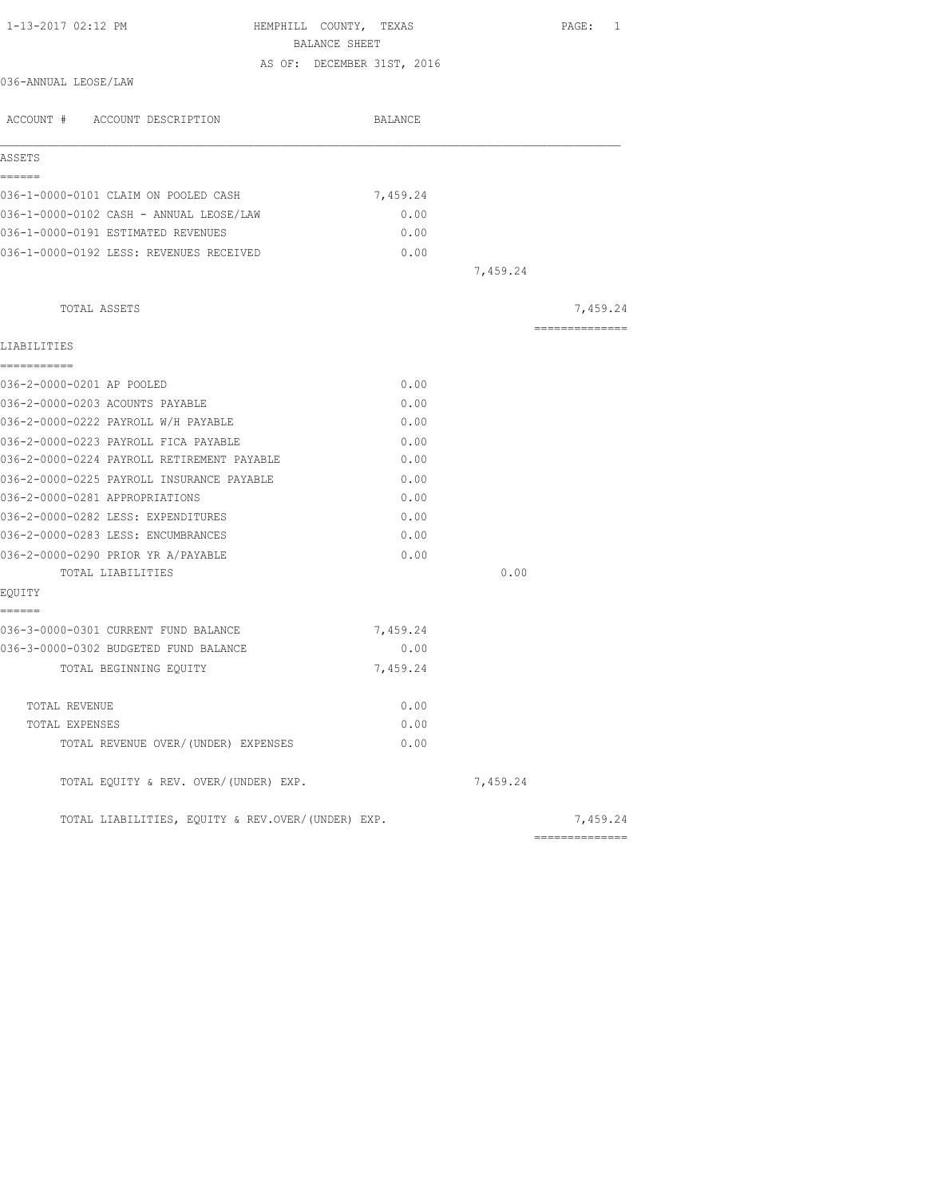| 1-13-2017 02:12 PM                                | HEMPHILL COUNTY, TEXAS     | PAGE: 1         |
|---------------------------------------------------|----------------------------|-----------------|
|                                                   | BALANCE SHEET              |                 |
| 036-ANNUAL LEOSE/LAW                              | AS OF: DECEMBER 31ST, 2016 |                 |
|                                                   |                            |                 |
| ACCOUNT # ACCOUNT DESCRIPTION                     | BALANCE                    |                 |
| ASSETS                                            |                            |                 |
| ======                                            |                            |                 |
| 036-1-0000-0101 CLAIM ON POOLED CASH              | 7,459.24                   |                 |
| 036-1-0000-0102 CASH - ANNUAL LEOSE/LAW           | 0.00                       |                 |
| 036-1-0000-0191 ESTIMATED REVENUES                | 0.00                       |                 |
| 036-1-0000-0192 LESS: REVENUES RECEIVED           | 0.00                       | 7,459.24        |
|                                                   |                            |                 |
| TOTAL ASSETS                                      |                            | 7,459.24        |
|                                                   |                            | --------------- |
| LIABILITIES<br>===========                        |                            |                 |
| 036-2-0000-0201 AP POOLED                         | 0.00                       |                 |
| 036-2-0000-0203 ACOUNTS PAYABLE                   | 0.00                       |                 |
| 036-2-0000-0222 PAYROLL W/H PAYABLE               | 0.00                       |                 |
| 036-2-0000-0223 PAYROLL FICA PAYABLE              | 0.00                       |                 |
| 036-2-0000-0224 PAYROLL RETIREMENT PAYABLE        | 0.00                       |                 |
| 036-2-0000-0225 PAYROLL INSURANCE PAYABLE         | 0.00                       |                 |
| 036-2-0000-0281 APPROPRIATIONS                    | 0.00                       |                 |
| 036-2-0000-0282 LESS: EXPENDITURES                | 0.00                       |                 |
| 036-2-0000-0283 LESS: ENCUMBRANCES                | 0.00                       |                 |
| 036-2-0000-0290 PRIOR YR A/PAYABLE                | 0.00                       |                 |
| TOTAL LIABILITIES                                 |                            | 0.00            |
| EQUITY                                            |                            |                 |
| ======                                            |                            |                 |
| 036-3-0000-0301 CURRENT FUND BALANCE              | 7,459.24                   |                 |
| 036-3-0000-0302 BUDGETED FUND BALANCE             | 0.00                       |                 |
| TOTAL BEGINNING EQUITY                            | 7,459.24                   |                 |
| TOTAL REVENUE                                     | 0.00                       |                 |
| TOTAL EXPENSES                                    | 0.00                       |                 |
| TOTAL REVENUE OVER/(UNDER) EXPENSES               | 0.00                       |                 |
| TOTAL EQUITY & REV. OVER/(UNDER) EXP.             |                            | 7,459.24        |
| TOTAL LIABILITIES, EQUITY & REV.OVER/(UNDER) EXP. |                            | 7,459.24        |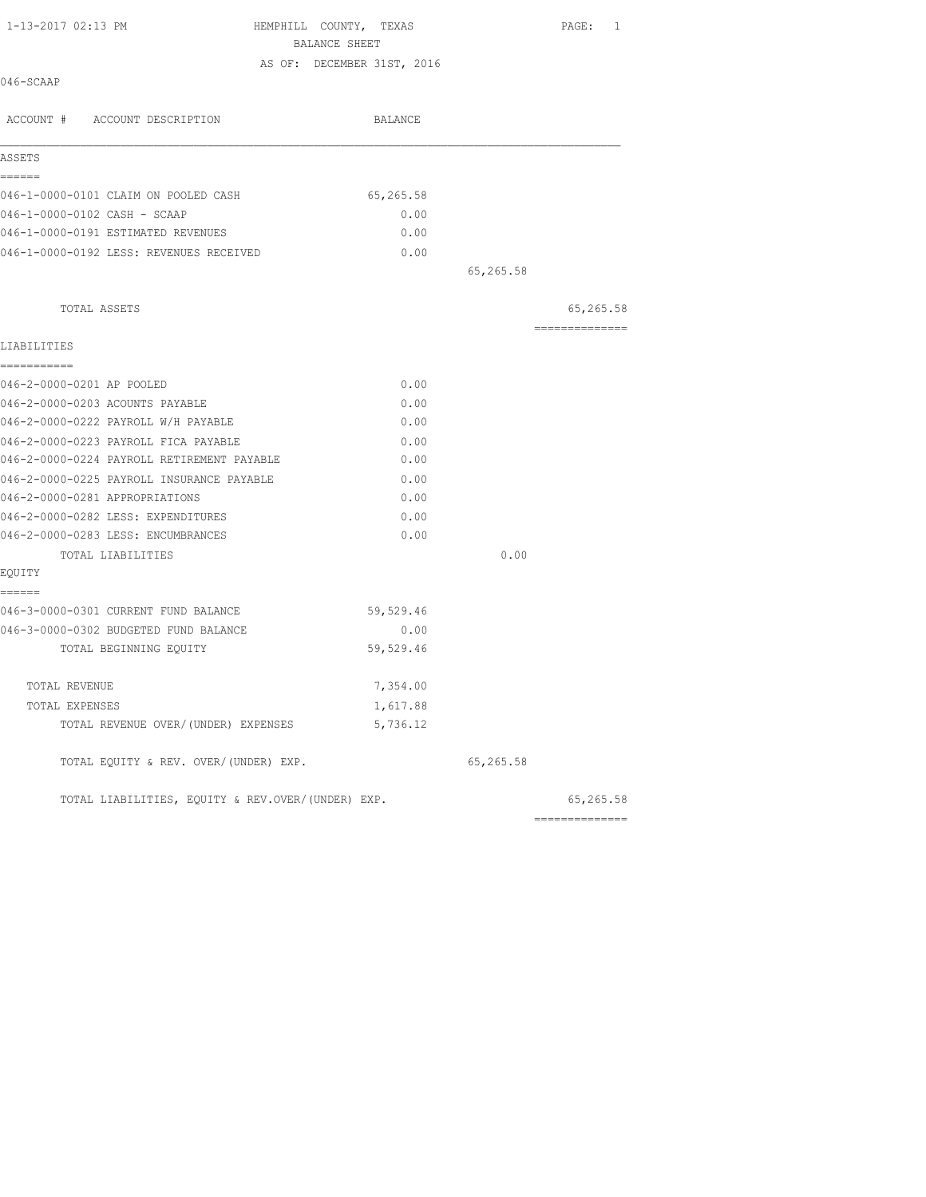| 1-13-2017 02:13 PM                         | HEMPHILL COUNTY, TEXAS<br>BALANCE SHEET |           | PAGE: 1         |
|--------------------------------------------|-----------------------------------------|-----------|-----------------|
|                                            | AS OF: DECEMBER 31ST, 2016              |           |                 |
| 046-SCAAP                                  |                                         |           |                 |
| ACCOUNT # ACCOUNT DESCRIPTION              | BALANCE                                 |           |                 |
| ASSETS                                     |                                         |           |                 |
| ------                                     |                                         |           |                 |
| 046-1-0000-0101 CLAIM ON POOLED CASH       | 65,265.58                               |           |                 |
| 046-1-0000-0102 CASH - SCAAP               | 0.00                                    |           |                 |
| 046-1-0000-0191 ESTIMATED REVENUES         | 0.00                                    |           |                 |
| 046-1-0000-0192 LESS: REVENUES RECEIVED    | 0.00                                    | 65,265.58 |                 |
| TOTAL ASSETS                               |                                         |           | 65,265.58       |
| LIABILITIES                                |                                         |           | --------------- |
| ===========                                |                                         |           |                 |
| 046-2-0000-0201 AP POOLED                  | 0.00                                    |           |                 |
| 046-2-0000-0203 ACOUNTS PAYABLE            | 0.00                                    |           |                 |
| 046-2-0000-0222 PAYROLL W/H PAYABLE        | 0.00                                    |           |                 |
| 046-2-0000-0223 PAYROLL FICA PAYABLE       | 0.00                                    |           |                 |
| 046-2-0000-0224 PAYROLL RETIREMENT PAYABLE | 0.00                                    |           |                 |
| 046-2-0000-0225 PAYROLL INSURANCE PAYABLE  | 0.00                                    |           |                 |
| 046-2-0000-0281 APPROPRIATIONS             | 0.00                                    |           |                 |
| 046-2-0000-0282 LESS: EXPENDITURES         | 0.00                                    |           |                 |
| 046-2-0000-0283 LESS: ENCUMBRANCES         | 0.00                                    |           |                 |
| TOTAL LIABILITIES                          |                                         | 0.00      |                 |
| EQUITY                                     |                                         |           |                 |
| ======                                     |                                         |           |                 |
| 046-3-0000-0301 CURRENT FUND BALANCE       | 59,529.46                               |           |                 |
| 046-3-0000-0302 BUDGETED FUND BALANCE      | 0.00                                    |           |                 |
| TOTAL BEGINNING EQUITY                     | 59,529.46                               |           |                 |
| TOTAL REVENUE                              | 7,354.00                                |           |                 |
| TOTAL EXPENSES                             | 1,617.88                                |           |                 |
| TOTAL REVENUE OVER/(UNDER) EXPENSES        | 5,736.12                                |           |                 |
| TOTAL EQUITY & REV. OVER/(UNDER) EXP.      |                                         | 65,265.58 |                 |

TOTAL LIABILITIES, EQUITY & REV.OVER/(UNDER) EXP. 65,265.58

| TOTAL LIABILITIES, EOUITY & REV.OVER/(UNDER) EXP. | 55,265.58      |
|---------------------------------------------------|----------------|
|                                                   | ______________ |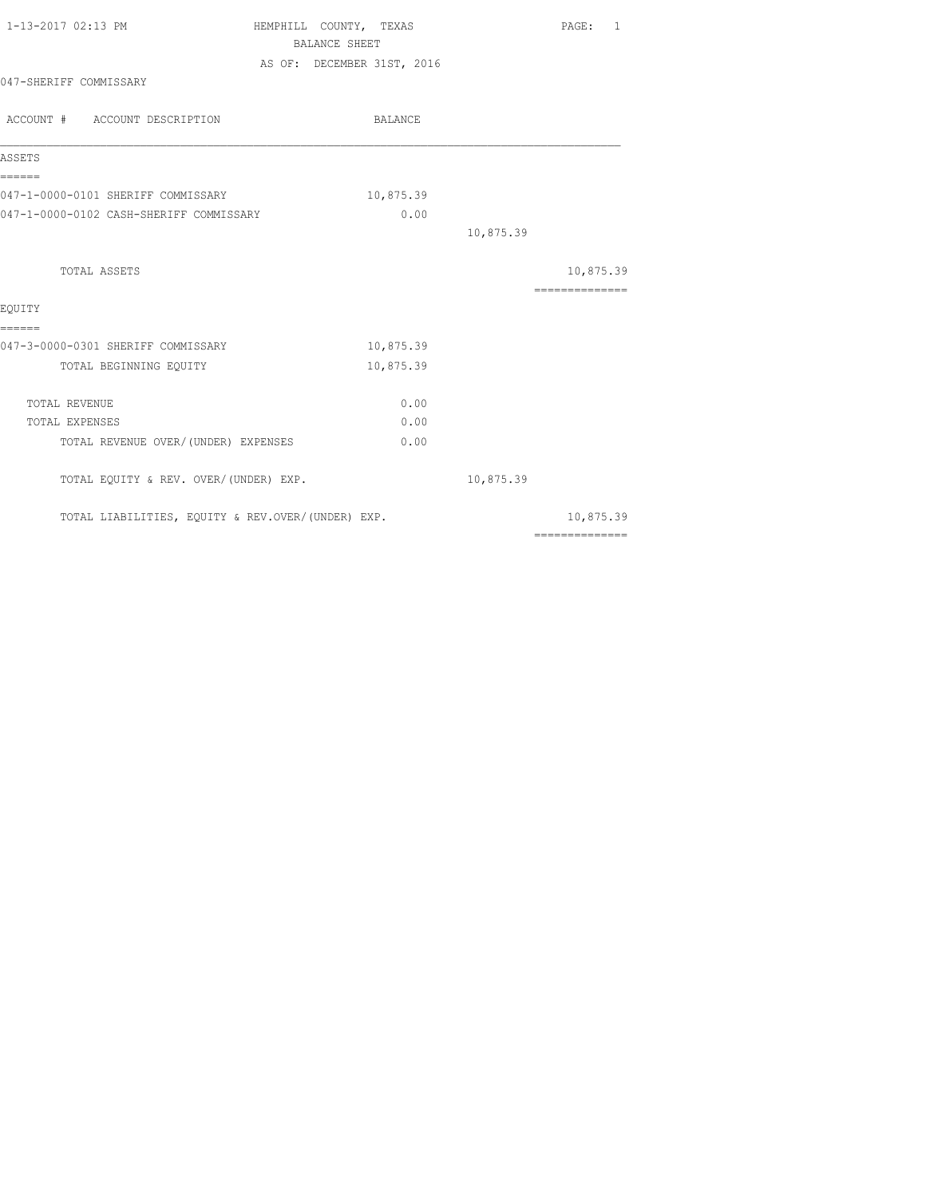| 1-13-2017 02:13 PM                                | HEMPHILL COUNTY, TEXAS |                            |           | PAGE: 1                                                                                                                                                                                                                                                                                                                                                                                                                                                                                |
|---------------------------------------------------|------------------------|----------------------------|-----------|----------------------------------------------------------------------------------------------------------------------------------------------------------------------------------------------------------------------------------------------------------------------------------------------------------------------------------------------------------------------------------------------------------------------------------------------------------------------------------------|
|                                                   | BALANCE SHEET          |                            |           |                                                                                                                                                                                                                                                                                                                                                                                                                                                                                        |
|                                                   |                        | AS OF: DECEMBER 31ST, 2016 |           |                                                                                                                                                                                                                                                                                                                                                                                                                                                                                        |
| 047-SHERIFF COMMISSARY                            |                        |                            |           |                                                                                                                                                                                                                                                                                                                                                                                                                                                                                        |
| ACCOUNT # ACCOUNT DESCRIPTION                     |                        | BALANCE                    |           |                                                                                                                                                                                                                                                                                                                                                                                                                                                                                        |
| ASSETS                                            |                        |                            |           |                                                                                                                                                                                                                                                                                                                                                                                                                                                                                        |
| ======<br>047-1-0000-0101 SHERIFF COMMISSARY      |                        | 10,875.39                  |           |                                                                                                                                                                                                                                                                                                                                                                                                                                                                                        |
| 047-1-0000-0102 CASH-SHERIFF COMMISSARY           |                        | 0.00                       |           |                                                                                                                                                                                                                                                                                                                                                                                                                                                                                        |
|                                                   |                        |                            | 10,875.39 |                                                                                                                                                                                                                                                                                                                                                                                                                                                                                        |
| TOTAL ASSETS                                      |                        |                            |           | 10,875.39                                                                                                                                                                                                                                                                                                                                                                                                                                                                              |
| EQUITY                                            |                        |                            |           | $\begin{array}{cccccccccc} \multicolumn{2}{c}{} & \multicolumn{2}{c}{} & \multicolumn{2}{c}{} & \multicolumn{2}{c}{} & \multicolumn{2}{c}{} & \multicolumn{2}{c}{} & \multicolumn{2}{c}{} & \multicolumn{2}{c}{} & \multicolumn{2}{c}{} & \multicolumn{2}{c}{} & \multicolumn{2}{c}{} & \multicolumn{2}{c}{} & \multicolumn{2}{c}{} & \multicolumn{2}{c}{} & \multicolumn{2}{c}{} & \multicolumn{2}{c}{} & \multicolumn{2}{c}{} & \multicolumn{2}{c}{} & \multicolumn{2}{c}{} & \mult$ |
| ======                                            |                        |                            |           |                                                                                                                                                                                                                                                                                                                                                                                                                                                                                        |
| 047-3-0000-0301 SHERIFF COMMISSARY                |                        | 10,875.39                  |           |                                                                                                                                                                                                                                                                                                                                                                                                                                                                                        |
| TOTAL BEGINNING EQUITY                            |                        | 10,875.39                  |           |                                                                                                                                                                                                                                                                                                                                                                                                                                                                                        |
| TOTAL REVENUE                                     |                        | 0.00                       |           |                                                                                                                                                                                                                                                                                                                                                                                                                                                                                        |
| TOTAL EXPENSES                                    |                        | 0.00                       |           |                                                                                                                                                                                                                                                                                                                                                                                                                                                                                        |
| TOTAL REVENUE OVER/ (UNDER) EXPENSES              |                        | 0.00                       |           |                                                                                                                                                                                                                                                                                                                                                                                                                                                                                        |
| TOTAL EQUITY & REV. OVER/(UNDER) EXP.             |                        |                            | 10,875.39 |                                                                                                                                                                                                                                                                                                                                                                                                                                                                                        |
| TOTAL LIABILITIES, EQUITY & REV.OVER/(UNDER) EXP. |                        |                            |           | 10,875.39                                                                                                                                                                                                                                                                                                                                                                                                                                                                              |
|                                                   |                        |                            |           | $2222222222222222$                                                                                                                                                                                                                                                                                                                                                                                                                                                                     |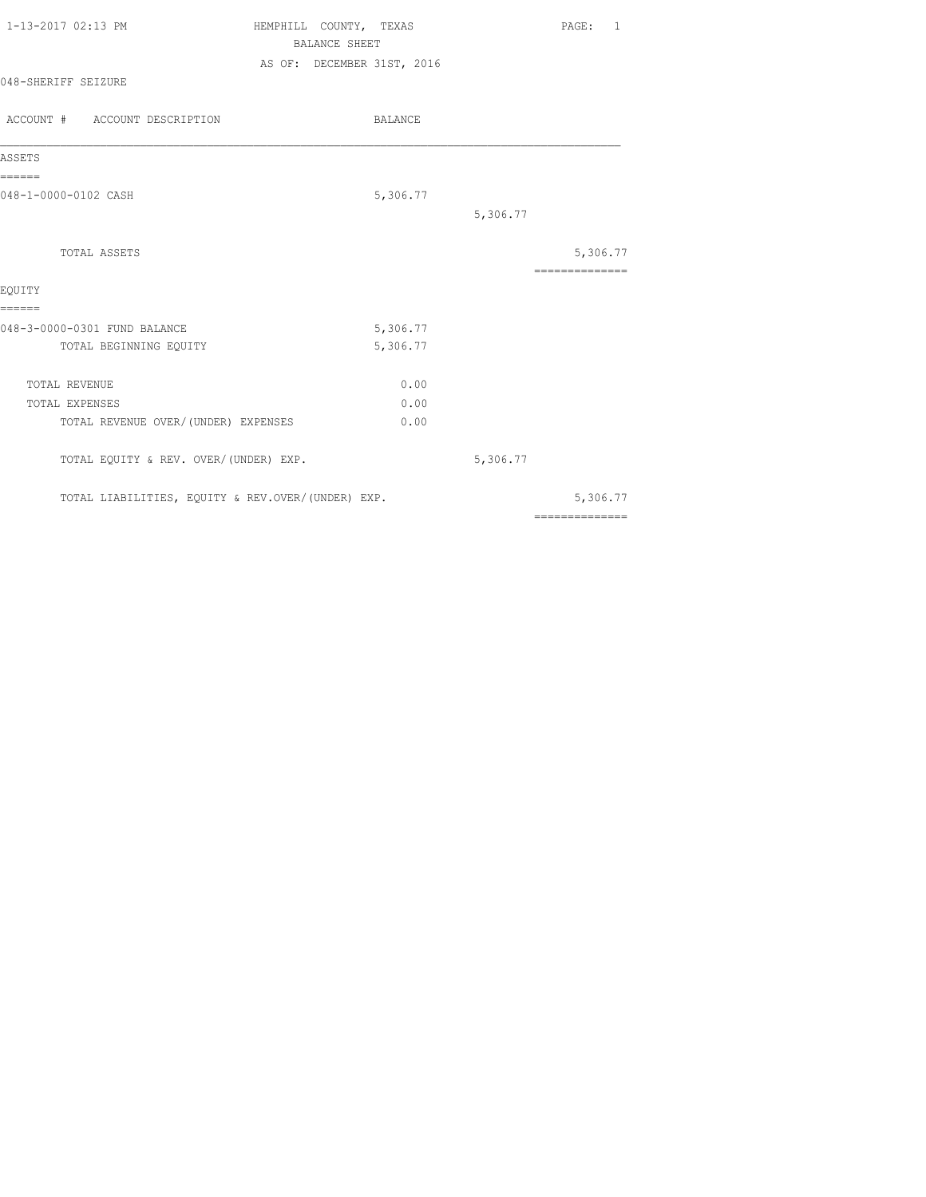| 1-13-2017 02:13 PM  | HEMPHILL COUNTY, TEXAS     | PAGE: 1 |
|---------------------|----------------------------|---------|
|                     | BALANCE SHEET              |         |
|                     | AS OF: DECEMBER 31ST, 2016 |         |
| 048-SHERIFF SEIZURE |                            |         |

| ACCOUNT # ACCOUNT DESCRIPTION                     | <b>BALANCE</b> |          |                |
|---------------------------------------------------|----------------|----------|----------------|
| ASSETS                                            |                |          |                |
| ======                                            |                |          |                |
| 048-1-0000-0102 CASH                              | 5,306.77       |          |                |
|                                                   |                | 5,306.77 |                |
| TOTAL ASSETS                                      |                |          | 5,306.77       |
|                                                   |                |          | ============== |
| EQUITY                                            |                |          |                |
| ======                                            |                |          |                |
| 048-3-0000-0301 FUND BALANCE                      | 5,306.77       |          |                |
| TOTAL BEGINNING EQUITY                            | 5,306.77       |          |                |
| TOTAL REVENUE                                     | 0.00           |          |                |
| TOTAL EXPENSES                                    | 0.00           |          |                |
| TOTAL REVENUE OVER/ (UNDER) EXPENSES              | 0.00           |          |                |
| TOTAL EQUITY & REV. OVER/(UNDER) EXP.             |                | 5,306.77 |                |
| TOTAL LIABILITIES, EQUITY & REV.OVER/(UNDER) EXP. |                |          | 5,306.77       |
|                                                   |                |          | ============== |